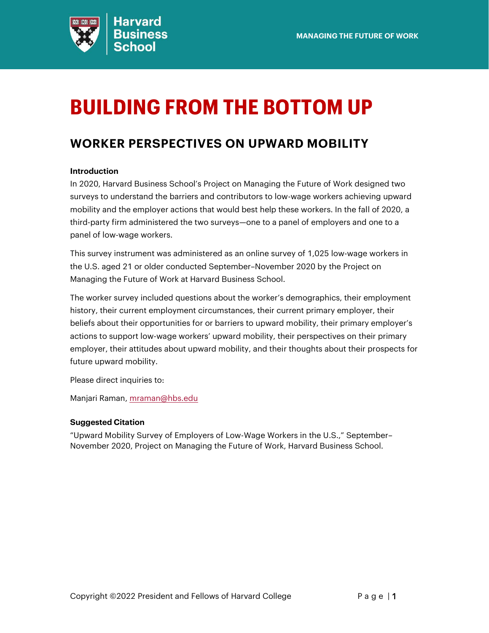

# <span id="page-0-0"></span>**BUILDING FROM THE BOTTOM UP**

## **WORKER PERSPECTIVES ON UPWARD MOBILITY**

### **Introduction**

In 2020, Harvard Business School's Project on Managing the Future of Work designed two surveys to understand the barriers and contributors to low-wage workers achieving upward mobility and the employer actions that would best help these workers. In the fall of 2020, a third-party firm administered the two surveys—one to a panel of employers and one to a panel of low-wage workers.

This survey instrument was administered as an online survey of 1,025 low-wage workers in the U.S. aged 21 or older conducted September–November 2020 by the Project on Managing the Future of Work at Harvard Business School.

The worker survey included questions about the worker's demographics, their employment history, their current employment circumstances, their current primary employer, their beliefs about their opportunities for or barriers to upward mobility, their primary employer's actions to support low-wage workers' upward mobility, their perspectives on their primary employer, their attitudes about upward mobility, and their thoughts about their prospects for future upward mobility.

Please direct inquiries to:

Manjari Raman, [mraman@hbs.edu](mailto:mraman@hbs.edu)

### **Suggested Citation**

"Upward Mobility Survey of Employers of Low-Wage Workers in the U.S.," September– November 2020, Project on Managing the Future of Work, Harvard Business School.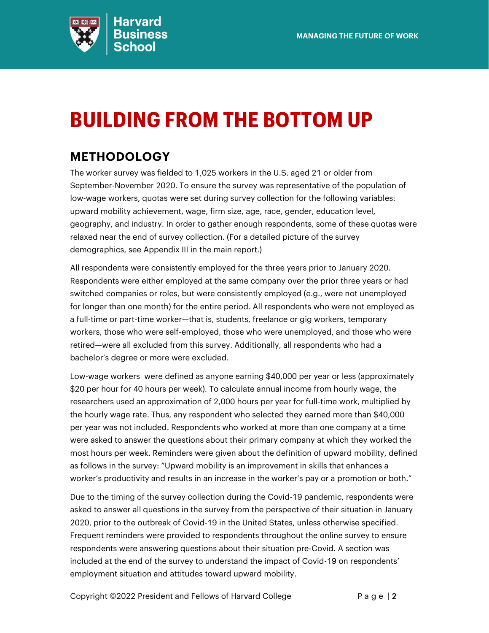

# <span id="page-1-0"></span>**BUILDING FROM THE BOTTOM UP**

## **METHODOLOGY**

The worker survey was fielded to 1,025 workers in the U.S. aged 21 or older from September-November 2020. To ensure the survey was representative of the population of low-wage workers, quotas were set during survey collection for the following variables: upward mobility achievement, wage, firm size, age, race, gender, education level, geography, and industry. In order to gather enough respondents, some of these quotas were relaxed near the end of survey collection. (For a detailed picture of the survey demographics, see Appendix III in the main report.)

All respondents were consistently employed for the three years prior to January 2020. Respondents were either employed at the same company over the prior three years or had switched companies or roles, but were consistently employed (e.g., were not unemployed for longer than one month) for the entire period. All respondents who were not employed as a full-time or part-time worker—that is, students, freelance or gig workers, temporary workers, those who were self-employed, those who were unemployed, and those who were retired—were all excluded from this survey. Additionally, all respondents who had a bachelor's degree or more were excluded.

Low-wage workers were defined as anyone earning \$40,000 per year or less (approximately \$20 per hour for 40 hours per week). To calculate annual income from hourly wage, the researchers used an approximation of 2,000 hours per year for full-time work, multiplied by the hourly wage rate. Thus, any respondent who selected they earned more than \$40,000 per year was not included. Respondents who worked at more than one company at a time were asked to answer the questions about their primary company at which they worked the most hours per week. Reminders were given about the definition of upward mobility, defined as follows in the survey: "Upward mobility is an improvement in skills that enhances a worker's productivity and results in an increase in the worker's pay or a promotion or both."

Due to the timing of the survey collection during the Covid-19 pandemic, respondents were asked to answer all questions in the survey from the perspective of their situation in January 2020, prior to the outbreak of Covid-19 in the United States, unless otherwise specified. Frequent reminders were provided to respondents throughout the online survey to ensure respondents were answering questions about their situation pre-Covid. A section was included at the end of the survey to understand the impact of Covid-19 on respondents' employment situation and attitudes toward upward mobility.

Copyright  $@2022$  President and Fellows of Harvard College **P** a g e | 2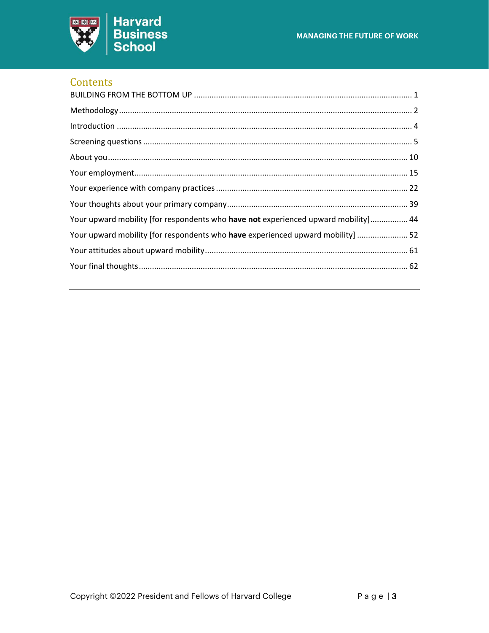

### Contents

| Your upward mobility [for respondents who have not experienced upward mobility] 44 |
|------------------------------------------------------------------------------------|
| Your upward mobility [for respondents who have experienced upward mobility]  52    |
|                                                                                    |
|                                                                                    |
|                                                                                    |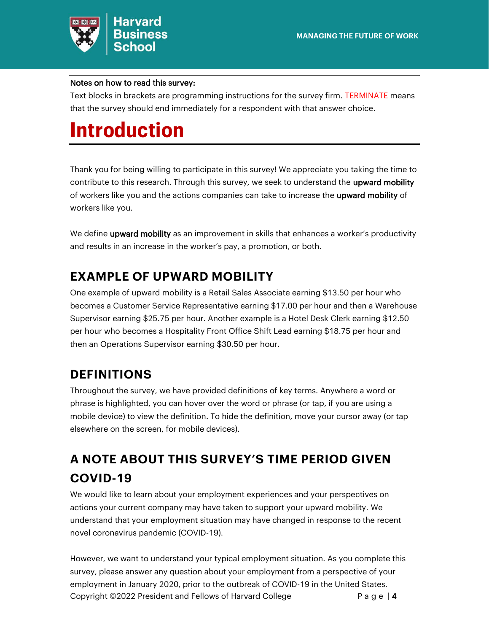

### Notes on how to read this survey:

Text blocks in brackets are programming instructions for the survey firm. TERMINATE means that the survey should end immediately for a respondent with that answer choice.

## <span id="page-3-0"></span>**Introduction**

Thank you for being willing to participate in this survey! We appreciate you taking the time to contribute to this research. Through this survey, we seek to understand the upward mobility of workers like you and the actions companies can take to increase the upward mobility of workers like you.

We define upward mobility as an improvement in skills that enhances a worker's productivity and results in an increase in the worker's pay, a promotion, or both.

## **EXAMPLE OF UPWARD MOBILITY**

One example of upward mobility is a Retail Sales Associate earning \$13.50 per hour who becomes a Customer Service Representative earning \$17.00 per hour and then a Warehouse Supervisor earning \$25.75 per hour. Another example is a Hotel Desk Clerk earning \$12.50 per hour who becomes a Hospitality Front Office Shift Lead earning \$18.75 per hour and then an Operations Supervisor earning \$30.50 per hour.

## **DEFINITIONS**

Throughout the survey, we have provided definitions of key terms. Anywhere a word or phrase is highlighted, you can hover over the word or phrase (or tap, if you are using a mobile device) to view the definition. To hide the definition, move your cursor away (or tap elsewhere on the screen, for mobile devices).

## **A NOTE ABOUT THIS SURVEY'S TIME PERIOD GIVEN COVID-19**

We would like to learn about your employment experiences and your perspectives on actions your current company may have taken to support your upward mobility. We understand that your employment situation may have changed in response to the recent novel coronavirus pandemic (COVID-19).

Copyright  $@2022$  President and Fellows of Harvard College **P** a g e | 4 However, we want to understand your typical employment situation. As you complete this survey, please answer any question about your employment from a perspective of your employment in January 2020, prior to the outbreak of COVID-19 in the United States.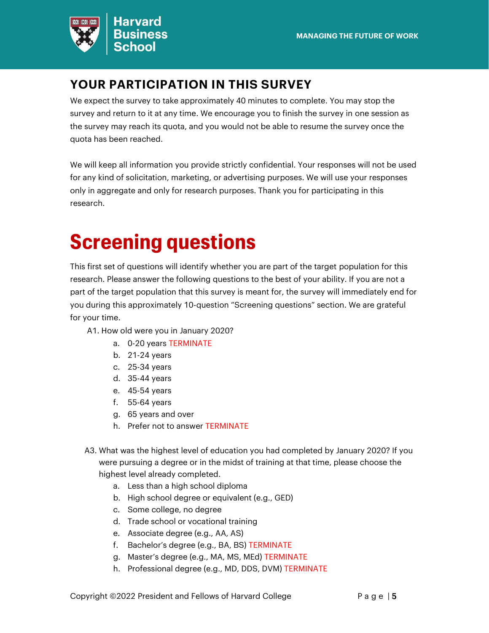

## **YOUR PARTICIPATION IN THIS SURVEY**

We expect the survey to take approximately 40 minutes to complete. You may stop the survey and return to it at any time. We encourage you to finish the survey in one session as the survey may reach its quota, and you would not be able to resume the survey once the quota has been reached.

We will keep all information you provide strictly confidential. Your responses will not be used for any kind of solicitation, marketing, or advertising purposes. We will use your responses only in aggregate and only for research purposes. Thank you for participating in this research.

## <span id="page-4-0"></span>**Screening questions**

This first set of questions will identify whether you are part of the target population for this research. Please answer the following questions to the best of your ability. If you are not a part of the target population that this survey is meant for, the survey will immediately end for you during this approximately 10-question "Screening questions" section. We are grateful for your time.

- A1. How old were you in January 2020?
	- a. 0-20 years TERMINATE
	- b. 21-24 years
	- c. 25-34 years
	- d. 35-44 years
	- e. 45-54 years
	- f. 55-64 years
	- g. 65 years and over
	- h. Prefer not to answer TERMINATE
- A3. What was the highest level of education you had completed by January 2020? If you were pursuing a degree or in the midst of training at that time, please choose the highest level already completed.
	- a. Less than a high school diploma
	- b. High school degree or equivalent (e.g., GED)
	- c. Some college, no degree
	- d. Trade school or vocational training
	- e. Associate degree (e.g., AA, AS)
	- f. Bachelor's degree (e.g., BA, BS) TERMINATE
	- g. Master's degree (e.g., MA, MS, MEd) TERMINATE
	- h. Professional degree (e.g., MD, DDS, DVM) TERMINATE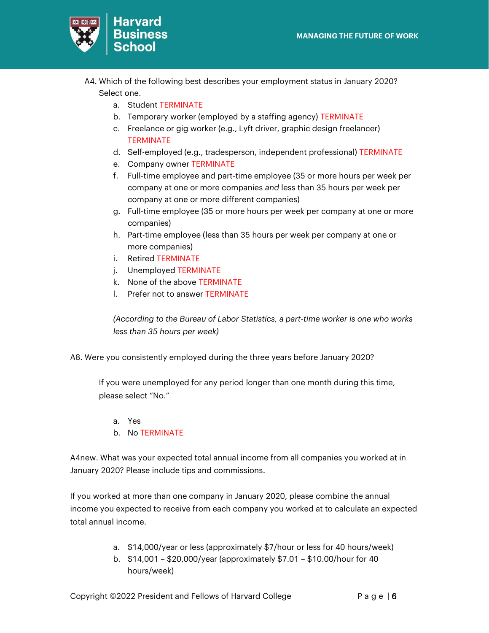

- A4. Which of the following best describes your employment status in January 2020? Select one.
	- a. Student TERMINATE
	- b. Temporary worker (employed by a staffing agency) TERMINATE
	- c. Freelance or gig worker (e.g., Lyft driver, graphic design freelancer) **TERMINATE**
	- d. Self-employed (e.g., tradesperson, independent professional) TERMINATE
	- e. Company owner TERMINATE
	- f. Full-time employee and part-time employee (35 or more hours per week per company at one or more companies *and* less than 35 hours per week per company at one or more different companies)
	- g. Full-time employee (35 or more hours per week per company at one or more companies)
	- h. Part-time employee (less than 35 hours per week per company at one or more companies)
	- i. Retired TERMINATE
	- j. Unemployed TERMINATE
	- k. None of the above TERMINATE
	- l. Prefer not to answer TERMINATE

*(According to the Bureau of Labor Statistics, a part-time worker is one who works less than 35 hours per week)*

A8. Were you consistently employed during the three years before January 2020?

If you were unemployed for any period longer than one month during this time, please select "No."

- a. Yes
- b. No TERMINATE

A4new. What was your expected total annual income from all companies you worked at in January 2020? Please include tips and commissions.

If you worked at more than one company in January 2020, please combine the annual income you expected to receive from each company you worked at to calculate an expected total annual income.

- a. \$14,000/year or less (approximately \$7/hour or less for 40 hours/week)
- b. \$14,001 \$20,000/year (approximately \$7.01 \$10.00/hour for 40 hours/week)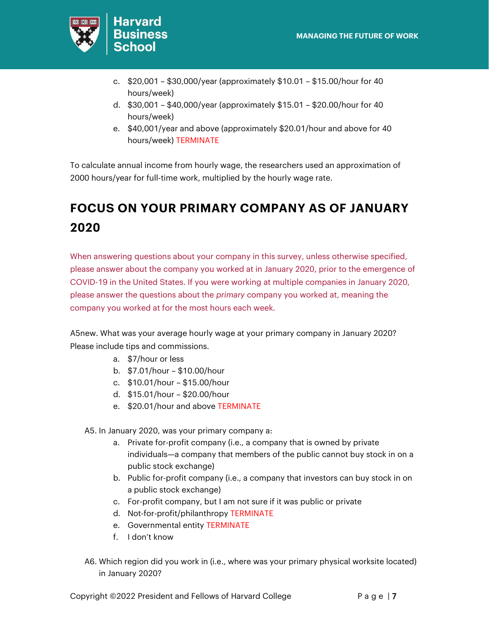

- c. \$20,001 \$30,000/year (approximately \$10.01 \$15.00/hour for 40 hours/week)
- d. \$30,001 \$40,000/year (approximately \$15.01 \$20.00/hour for 40 hours/week)
- e. \$40,001/year and above (approximately \$20.01/hour and above for 40 hours/week) TERMINATE

To calculate annual income from hourly wage, the researchers used an approximation of 2000 hours/year for full-time work, multiplied by the hourly wage rate.

## **FOCUS ON YOUR PRIMARY COMPANY AS OF JANUARY 2020**

When answering questions about your company in this survey, unless otherwise specified, please answer about the company you worked at in January 2020, prior to the emergence of COVID-19 in the United States. If you were working at multiple companies in January 2020, please answer the questions about the *primary* company you worked at, meaning the company you worked at for the most hours each week.

A5new. What was your average hourly wage at your primary company in January 2020? Please include tips and commissions.

- a. \$7/hour or less
- b. \$7.01/hour \$10.00/hour
- c. \$10.01/hour \$15.00/hour
- d. \$15.01/hour \$20.00/hour
- e. \$20.01/hour and above TERMINATE

A5. In January 2020, was your primary company a:

- a. Private for-profit company (i.e., a company that is owned by private individuals—a company that members of the public cannot buy stock in on a public stock exchange)
- b. Public for-profit company (i.e., a company that investors can buy stock in on a public stock exchange)
- c. For-profit company, but I am not sure if it was public or private
- d. Not-for-profit/philanthropy TERMINATE
- e. Governmental entity TERMINATE
- f. I don't know
- A6. Which region did you work in (i.e., where was your primary physical worksite located) in January 2020?

Copyright ©2022 President and Fellows of Harvard College P a g e | 7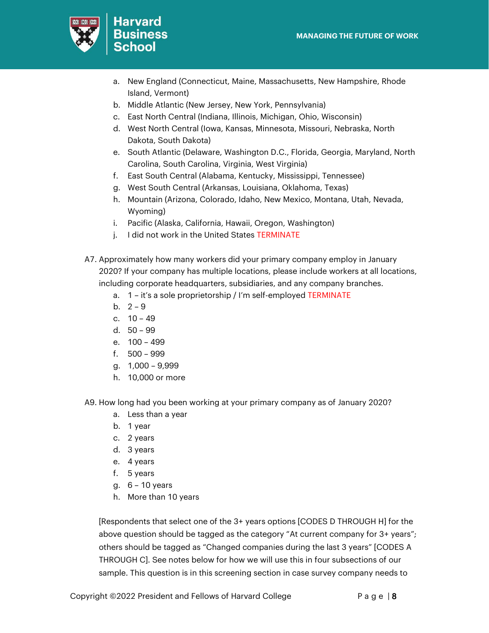

- a. New England (Connecticut, Maine, Massachusetts, New Hampshire, Rhode Island, Vermont)
- b. Middle Atlantic (New Jersey, New York, Pennsylvania)
- c. East North Central (Indiana, Illinois, Michigan, Ohio, Wisconsin)
- d. West North Central (Iowa, Kansas, Minnesota, Missouri, Nebraska, North Dakota, South Dakota)
- e. South Atlantic (Delaware, Washington D.C., Florida, Georgia, Maryland, North Carolina, South Carolina, Virginia, West Virginia)
- f. East South Central (Alabama, Kentucky, Mississippi, Tennessee)
- g. West South Central (Arkansas, Louisiana, Oklahoma, Texas)
- h. Mountain (Arizona, Colorado, Idaho, New Mexico, Montana, Utah, Nevada, Wyoming)
- i. Pacific (Alaska, California, Hawaii, Oregon, Washington)
- j. I did not work in the United States TERMINATE
- A7. Approximately how many workers did your primary company employ in January 2020? If your company has multiple locations, please include workers at all locations, including corporate headquarters, subsidiaries, and any company branches.
	- a. 1 it's a sole proprietorship / I'm self-employed TERMINATE
	- b.  $2 9$
	- c. 10 49
	- d. 50 99
	- e. 100 499
	- f. 500 999
	- g. 1,000 9,999
	- h. 10,000 or more
- A9. How long had you been working at your primary company as of January 2020?
	- a. Less than a year
	- b. 1 year
	- c. 2 years
	- d. 3 years
	- e. 4 years
	- f. 5 years
	- g. 6 10 years
	- h. More than 10 years

[Respondents that select one of the 3+ years options [CODES D THROUGH H] for the above question should be tagged as the category "At current company for 3+ years"; others should be tagged as "Changed companies during the last 3 years" [CODES A THROUGH C]. See notes below for how we will use this in four subsections of our sample. This question is in this screening section in case survey company needs to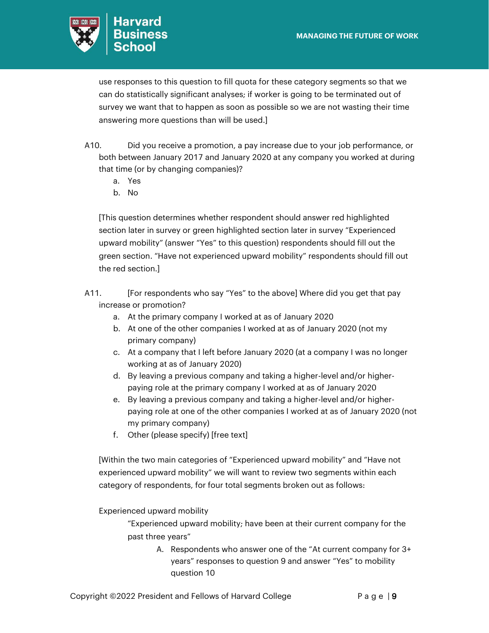

use responses to this question to fill quota for these category segments so that we can do statistically significant analyses; if worker is going to be terminated out of survey we want that to happen as soon as possible so we are not wasting their time answering more questions than will be used.]

- A10. Did you receive a promotion, a pay increase due to your job performance, or both between January 2017 and January 2020 at any company you worked at during that time (or by changing companies)?
	- a. Yes
	- b. No

[This question determines whether respondent should answer red highlighted section later in survey or green highlighted section later in survey "Experienced upward mobility" (answer "Yes" to this question) respondents should fill out the green section. "Have not experienced upward mobility" respondents should fill out the red section.]

- A11. [For respondents who say "Yes" to the above] Where did you get that pay increase or promotion?
	- a. At the primary company I worked at as of January 2020
	- b. At one of the other companies I worked at as of January 2020 (not my primary company)
	- c. At a company that I left before January 2020 (at a company I was no longer working at as of January 2020)
	- d. By leaving a previous company and taking a higher-level and/or higherpaying role at the primary company I worked at as of January 2020
	- e. By leaving a previous company and taking a higher-level and/or higherpaying role at one of the other companies I worked at as of January 2020 (not my primary company)
	- f. Other (please specify) [free text]

[Within the two main categories of "Experienced upward mobility" and "Have not experienced upward mobility" we will want to review two segments within each category of respondents, for four total segments broken out as follows:

Experienced upward mobility

"Experienced upward mobility; have been at their current company for the past three years"

> A. Respondents who answer one of the "At current company for 3+ years" responses to question 9 and answer "Yes" to mobility question 10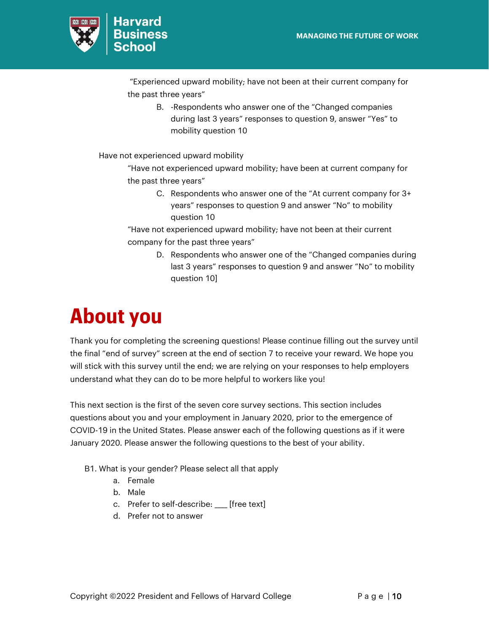

"Experienced upward mobility; have not been at their current company for the past three years"

> B. -Respondents who answer one of the "Changed companies during last 3 years" responses to question 9, answer "Yes" to mobility question 10

Have not experienced upward mobility

"Have not experienced upward mobility; have been at current company for the past three years"

> C. Respondents who answer one of the "At current company for 3+ years" responses to question 9 and answer "No" to mobility question 10

"Have not experienced upward mobility; have not been at their current company for the past three years"

> D. Respondents who answer one of the "Changed companies during last 3 years" responses to question 9 and answer "No" to mobility question 10]

## <span id="page-9-0"></span>**About you**

Thank you for completing the screening questions! Please continue filling out the survey until the final "end of survey" screen at the end of section 7 to receive your reward. We hope you will stick with this survey until the end; we are relying on your responses to help employers understand what they can do to be more helpful to workers like you!

This next section is the first of the seven core survey sections. This section includes questions about you and your employment in January 2020, prior to the emergence of COVID-19 in the United States. Please answer each of the following questions as if it were January 2020. Please answer the following questions to the best of your ability.

- B1. What is your gender? Please select all that apply
	- a. Female
	- b. Male
	- c. Prefer to self-describe: \_\_\_\_ [free text]
	- d. Prefer not to answer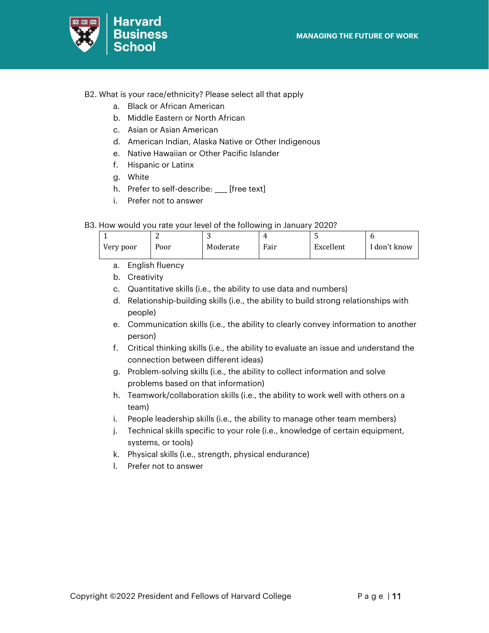

- B2. What is your race/ethnicity? Please select all that apply
	- a. Black or African American
	- b. Middle Eastern or North African
	- c. Asian or Asian American
	- d. American Indian, Alaska Native or Other Indigenous
	- e. Native Hawaiian or Other Pacific Islander
	- f. Hispanic or Latinx
	- g. White
	- h. Prefer to self-describe: \_\_\_\_ [free text]
	- i. Prefer not to answer
- B3. How would you rate your level of the following in January 2020?

| Very poor | Poor | Moderate | Fair | Excellent | I don't know |
|-----------|------|----------|------|-----------|--------------|

- a. English fluency
- b. Creativity
- c. Quantitative skills (i.e., the ability to use data and numbers)
- d. Relationship-building skills (i.e., the ability to build strong relationships with people)
- e. Communication skills (i.e., the ability to clearly convey information to another person)
- f. Critical thinking skills (i.e., the ability to evaluate an issue and understand the connection between different ideas)
- g. Problem-solving skills (i.e., the ability to collect information and solve problems based on that information)
- h. Teamwork/collaboration skills (i.e., the ability to work well with others on a team)
- i. People leadership skills (i.e., the ability to manage other team members)
- j. Technical skills specific to your role (i.e., knowledge of certain equipment, systems, or tools)
- k. Physical skills (i.e., strength, physical endurance)
- l. Prefer not to answer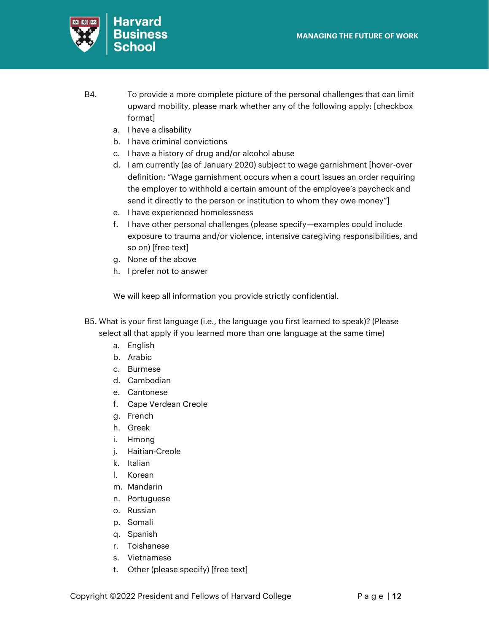

- B4. To provide a more complete picture of the personal challenges that can limit upward mobility, please mark whether any of the following apply: [checkbox format]
	- a. I have a disability
	- b. I have criminal convictions
	- c. I have a history of drug and/or alcohol abuse
	- d. I am currently (as of January 2020) subject to wage garnishment [hover-over definition: "Wage garnishment occurs when a court issues an order requiring the employer to withhold a certain amount of the employee's paycheck and send it directly to the person or institution to whom they owe money"]
	- e. I have experienced homelessness
	- f. I have other personal challenges (please specify—examples could include exposure to trauma and/or violence, intensive caregiving responsibilities, and so on) [free text]
	- g. None of the above
	- h. I prefer not to answer

We will keep all information you provide strictly confidential.

- B5. What is your first language (i.e., the language you first learned to speak)? (Please select all that apply if you learned more than one language at the same time)
	- a. English
	- b. Arabic
	- c. Burmese
	- d. Cambodian
	- e. Cantonese
	- f. Cape Verdean Creole
	- g. French
	- h. Greek
	- i. Hmong
	- j. Haitian-Creole
	- k. Italian
	- l. Korean
	- m. Mandarin
	- n. Portuguese
	- o. Russian
	- p. Somali
	- q. Spanish
	- r. Toishanese
	- s. Vietnamese
	- t. Other (please specify) [free text]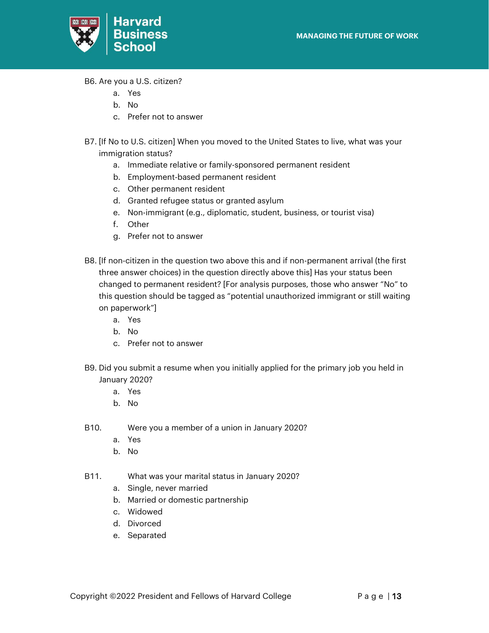

B6. Are you a U.S. citizen?

- a. Yes
- b. No
- c. Prefer not to answer
- B7. [If No to U.S. citizen] When you moved to the United States to live, what was your immigration status?
	- a. Immediate relative or family-sponsored permanent resident
	- b. Employment-based permanent resident
	- c. Other permanent resident
	- d. Granted refugee status or granted asylum
	- e. Non-immigrant (e.g., diplomatic, student, business, or tourist visa)
	- f. Other
	- g. Prefer not to answer
- B8. [If non-citizen in the question two above this and if non-permanent arrival (the first three answer choices) in the question directly above this] Has your status been changed to permanent resident? [For analysis purposes, those who answer "No" to this question should be tagged as "potential unauthorized immigrant or still waiting on paperwork"]
	- a. Yes
	- b. No
	- c. Prefer not to answer
- B9. Did you submit a resume when you initially applied for the primary job you held in January 2020?
	- a. Yes
	- b. No
- B10. Were you a member of a union in January 2020?
	- a. Yes
	- b. No
- B11. What was your marital status in January 2020?
	- a. Single, never married
	- b. Married or domestic partnership
	- c. Widowed
	- d. Divorced
	- e. Separated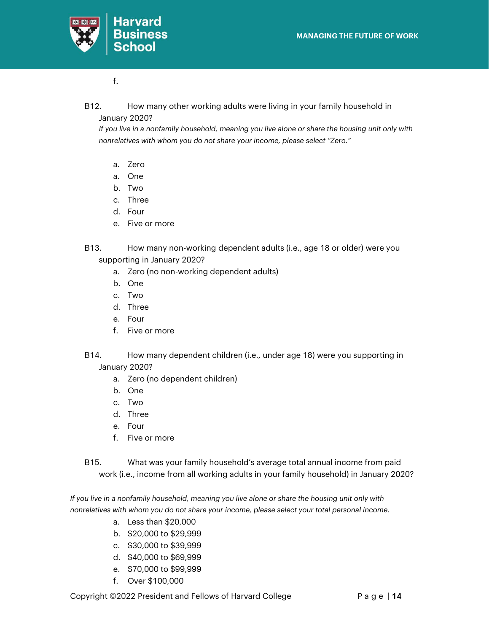

### f.

B12. How many other working adults were living in your family household in January 2020?

*If you live in a nonfamily household, meaning you live alone or share the housing unit only with nonrelatives with whom you do not share your income, please select "Zero."*

- a. Zero
- a. One
- b. Two
- c. Three
- d. Four
- e. Five or more
- B13. How many non-working dependent adults (i.e., age 18 or older) were you supporting in January 2020?
	- a. Zero (no non-working dependent adults)
	- b. One
	- c. Two
	- d. Three
	- e. Four
	- f. Five or more
- B14. How many dependent children (i.e., under age 18) were you supporting in January 2020?
	- a. Zero (no dependent children)
	- b. One
	- c. Two
	- d. Three
	- e. Four
	- f. Five or more
- B15. What was your family household's average total annual income from paid work (i.e., income from all working adults in your family household) in January 2020?

*If you live in a nonfamily household, meaning you live alone or share the housing unit only with nonrelatives with whom you do not share your income, please select your total personal income.*

- a. Less than \$20,000
- b. \$20,000 to \$29,999
- c. \$30,000 to \$39,999
- d. \$40,000 to \$69,999
- e. \$70,000 to \$99,999
- f. Over \$100,000

Copyright ©2022 President and Fellows of Harvard College P a g e | 14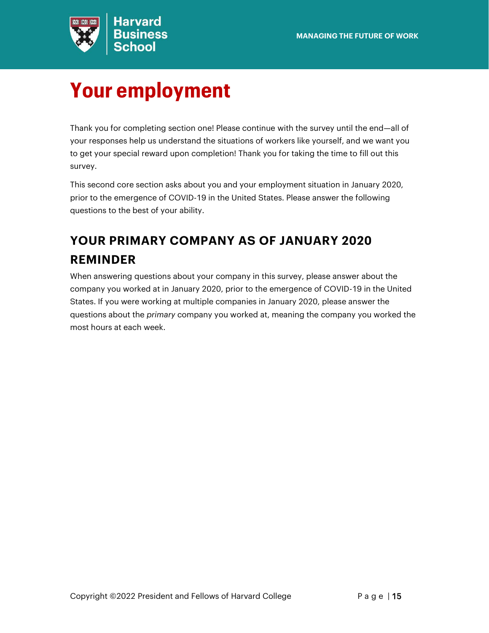

# <span id="page-14-0"></span>**Your employment**

Thank you for completing section one! Please continue with the survey until the end—all of your responses help us understand the situations of workers like yourself, and we want you to get your special reward upon completion! Thank you for taking the time to fill out this survey.

This second core section asks about you and your employment situation in January 2020, prior to the emergence of COVID-19 in the United States. Please answer the following questions to the best of your ability.

## **YOUR PRIMARY COMPANY AS OF JANUARY 2020 REMINDER**

When answering questions about your company in this survey, please answer about the company you worked at in January 2020, prior to the emergence of COVID-19 in the United States. If you were working at multiple companies in January 2020, please answer the questions about the *primary* company you worked at, meaning the company you worked the most hours at each week.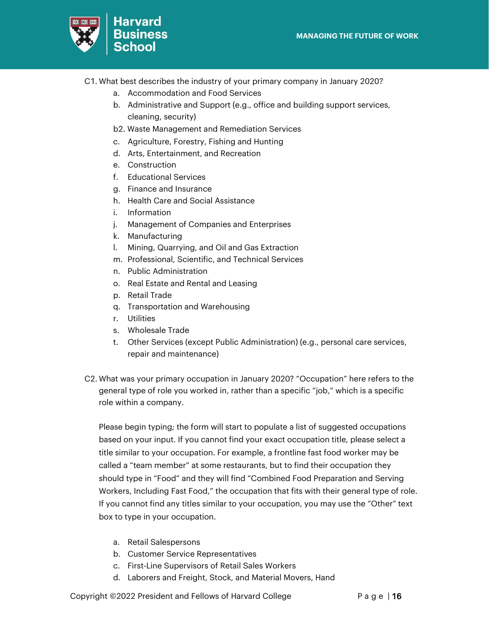

- C1. What best describes the industry of your primary company in January 2020?
	- a. Accommodation and Food Services
	- b. Administrative and Support (e.g., office and building support services, cleaning, security)
	- b2. Waste Management and Remediation Services
	- c. Agriculture, Forestry, Fishing and Hunting
	- d. Arts, Entertainment, and Recreation
	- e. Construction
	- f. Educational Services
	- g. Finance and Insurance
	- h. Health Care and Social Assistance
	- i. Information
	- j. Management of Companies and Enterprises
	- k. Manufacturing
	- l. Mining, Quarrying, and Oil and Gas Extraction
	- m. Professional, Scientific, and Technical Services
	- n. Public Administration
	- o. Real Estate and Rental and Leasing
	- p. Retail Trade
	- q. Transportation and Warehousing
	- r. Utilities
	- s. Wholesale Trade
	- t. Other Services (except Public Administration) (e.g., personal care services, repair and maintenance)
- C2. What was your primary occupation in January 2020? "Occupation" here refers to the general type of role you worked in, rather than a specific "job," which is a specific role within a company.

Please begin typing; the form will start to populate a list of suggested occupations based on your input. If you cannot find your exact occupation title, please select a title similar to your occupation. For example, a frontline fast food worker may be called a "team member" at some restaurants, but to find their occupation they should type in "Food" and they will find "Combined Food Preparation and Serving Workers, Including Fast Food," the occupation that fits with their general type of role. If you cannot find any titles similar to your occupation, you may use the "Other" text box to type in your occupation.

- a. Retail Salespersons
- b. Customer Service Representatives
- c. First-Line Supervisors of Retail Sales Workers
- d. Laborers and Freight, Stock, and Material Movers, Hand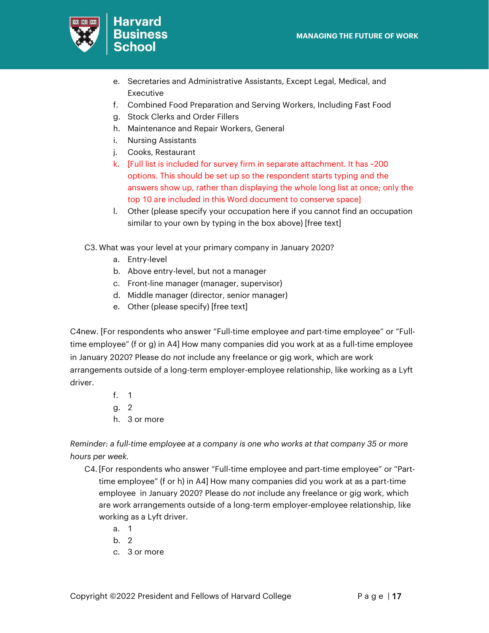

- e. Secretaries and Administrative Assistants, Except Legal, Medical, and Executive
- f. Combined Food Preparation and Serving Workers, Including Fast Food
- g. Stock Clerks and Order Fillers
- h. Maintenance and Repair Workers, General
- i. Nursing Assistants
- j. Cooks, Restaurant
- k. [Full list is included for survey firm in separate attachment. It has ~200 options. This should be set up so the respondent starts typing and the answers show up, rather than displaying the whole long list at once; only the top 10 are included in this Word document to conserve space]
- l. Other (please specify your occupation here if you cannot find an occupation similar to your own by typing in the box above) [free text]

C3. What was your level at your primary company in January 2020?

- a. Entry-level
- b. Above entry-level, but not a manager
- c. Front-line manager (manager, supervisor)
- d. Middle manager (director, senior manager)
- e. Other (please specify) [free text]

C4new. [For respondents who answer "Full-time employee *and* part-time employee" or "Fulltime employee" (f or g) in A4] How many companies did you work at as a full-time employee in January 2020? Please do *not* include any freelance or gig work, which are work arrangements outside of a long-term employer-employee relationship, like working as a Lyft driver.

- f. 1
- g. 2
- h. 3 or more

*Reminder: a full-time employee at a company is one who works at that company 35 or more hours per week.*

- C4. [For respondents who answer "Full-time employee and part-time employee" or "Parttime employee" (f or h) in A4] How many companies did you work at as a part-time employee in January 2020? Please do *not* include any freelance or gig work, which are work arrangements outside of a long-term employer-employee relationship, like working as a Lyft driver.
	- a. 1
	- b. 2
	- c. 3 or more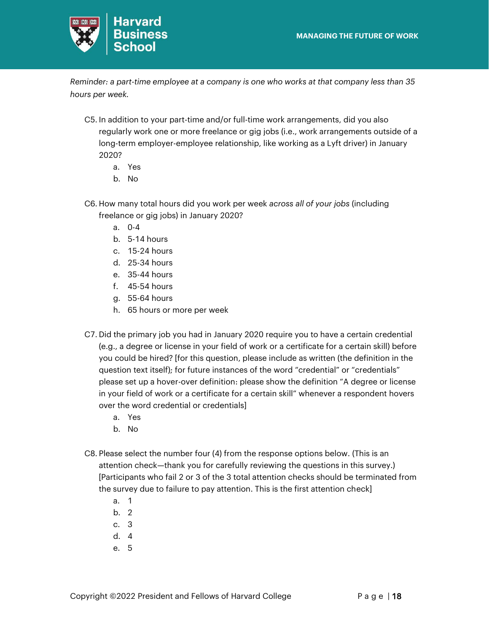

*Reminder: a part-time employee at a company is one who works at that company less than 35 hours per week.*

- C5. In addition to your part-time and/or full-time work arrangements, did you also regularly work one or more freelance or gig jobs (i.e., work arrangements outside of a long-term employer-employee relationship, like working as a Lyft driver) in January 2020?
	- a. Yes
	- b. No
- C6. How many total hours did you work per week *across all of your jobs* (including freelance or gig jobs) in January 2020?
	- a. 0-4
	- b. 5-14 hours
	- c. 15-24 hours
	- d. 25-34 hours
	- e. 35-44 hours
	- f. 45-54 hours
	- g. 55-64 hours
	- h. 65 hours or more per week
- C7. Did the primary job you had in January 2020 require you to have a certain credential (e.g., a degree or license in your field of work or a certificate for a certain skill) before you could be hired? [for this question, please include as written (the definition in the question text itself); for future instances of the word "credential" or "credentials" please set up a hover-over definition: please show the definition "A degree or license in your field of work or a certificate for a certain skill" whenever a respondent hovers over the word credential or credentials]
	- a. Yes
	- b. No
- C8. Please select the number four (4) from the response options below. (This is an attention check—thank you for carefully reviewing the questions in this survey.) [Participants who fail 2 or 3 of the 3 total attention checks should be terminated from the survey due to failure to pay attention. This is the first attention check]
	- a. 1
	- b. 2
	- c. 3
	- d. 4
	- e. 5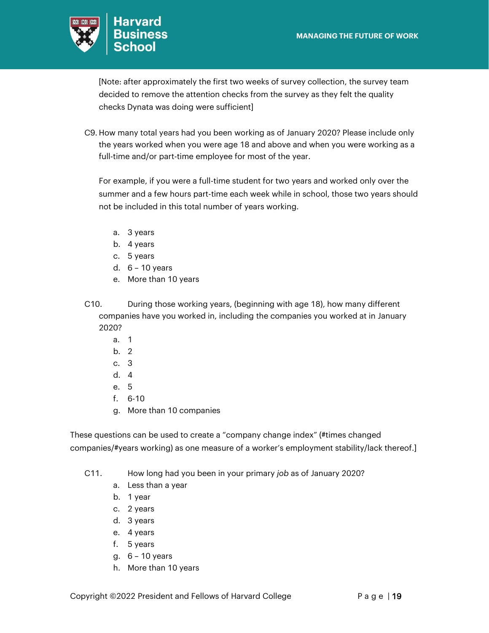

[Note: after approximately the first two weeks of survey collection, the survey team decided to remove the attention checks from the survey as they felt the quality checks Dynata was doing were sufficient]

C9. How many total years had you been working as of January 2020? Please include only the years worked when you were age 18 and above and when you were working as a full-time and/or part-time employee for most of the year.

For example, if you were a full-time student for two years and worked only over the summer and a few hours part-time each week while in school, those two years should not be included in this total number of years working.

- a. 3 years
- b. 4 years
- c. 5 years
- d. 6 10 years
- e. More than 10 years
- C10. During those working years, (beginning with age 18), how many different companies have you worked in, including the companies you worked at in January 2020?
	- a. 1
	- b. 2
	- c. 3
	- d. 4
	- e. 5
	- f. 6-10
	- g. More than 10 companies

These questions can be used to create a "company change index" (#times changed companies/#years working) as one measure of a worker's employment stability/lack thereof.]

- C11. How long had you been in your primary *job* as of January 2020?
	- a. Less than a year
	- b. 1 year
	- c. 2 years
	- d. 3 years
	- e. 4 years
	- f. 5 years
	- g. 6 10 years
	- h. More than 10 years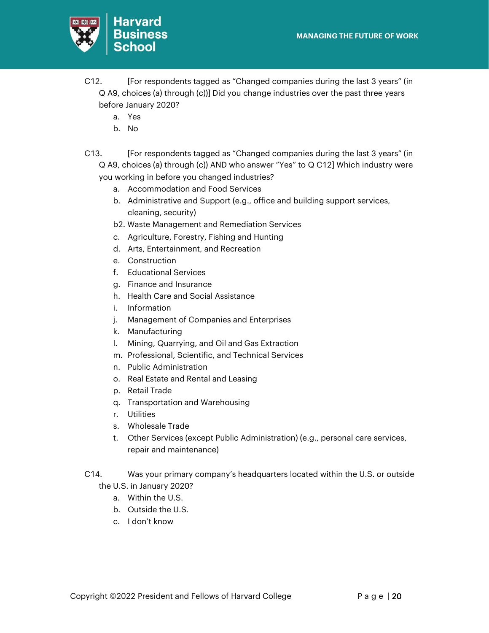

- C12. [For respondents tagged as "Changed companies during the last 3 years" (in Q A9, choices (a) through (c))] Did you change industries over the past three years before January 2020?
	- a. Yes
	- b. No
- C13. [For respondents tagged as "Changed companies during the last 3 years" (in Q A9, choices (a) through (c)) AND who answer "Yes" to Q C12] Which industry were you working in before you changed industries?
	- a. Accommodation and Food Services
	- b. Administrative and Support (e.g., office and building support services, cleaning, security)
	- b2. Waste Management and Remediation Services
	- c. Agriculture, Forestry, Fishing and Hunting
	- d. Arts, Entertainment, and Recreation
	- e. Construction
	- f. Educational Services
	- g. Finance and Insurance
	- h. Health Care and Social Assistance
	- i. Information
	- j. Management of Companies and Enterprises
	- k. Manufacturing
	- l. Mining, Quarrying, and Oil and Gas Extraction
	- m. Professional, Scientific, and Technical Services
	- n. Public Administration
	- o. Real Estate and Rental and Leasing
	- p. Retail Trade
	- q. Transportation and Warehousing
	- r. Utilities
	- s. Wholesale Trade
	- t. Other Services (except Public Administration) (e.g., personal care services, repair and maintenance)
- C14. Was your primary company's headquarters located within the U.S. or outside the U.S. in January 2020?
	- a. Within the U.S.
	- b. Outside the U.S.
	- c. I don't know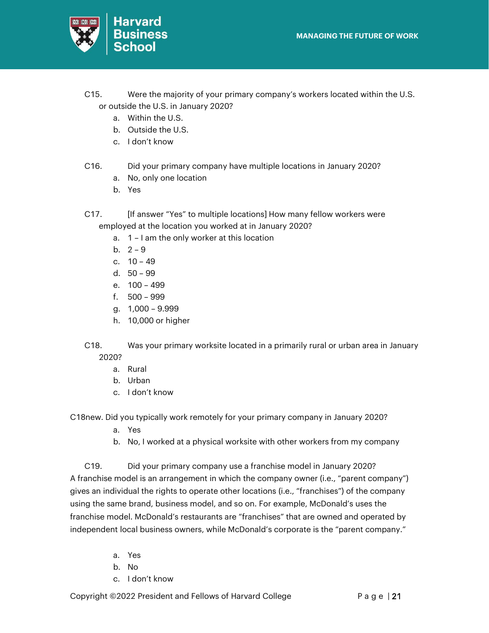

- C15. Were the majority of your primary company's workers located within the U.S. or outside the U.S. in January 2020?
	- a. Within the U.S.
	- b. Outside the U.S.
	- c. I don't know
- C16. Did your primary company have multiple locations in January 2020?
	- a. No, only one location
	- b. Yes
- C17. [If answer "Yes" to multiple locations] How many fellow workers were employed at the location you worked at in January 2020?
	- a. 1 I am the only worker at this location
	- b.  $2 9$
	- c. 10 49
	- d. 50 99
	- e. 100 499
	- f. 500 999
	- g. 1,000 9.999
	- h. 10,000 or higher
- C18. Was your primary worksite located in a primarily rural or urban area in January 2020?
	- a. Rural
	- b. Urban
	- c. I don't know

C18new. Did you typically work remotely for your primary company in January 2020?

- a. Yes
- b. No, I worked at a physical worksite with other workers from my company

C19. Did your primary company use a franchise model in January 2020? A franchise model is an arrangement in which the company owner (i.e., "parent company") gives an individual the rights to operate other locations (i.e., "franchises") of the company using the same brand, business model, and so on. For example, McDonald's uses the franchise model. McDonald's restaurants are "franchises" that are owned and operated by independent local business owners, while McDonald's corporate is the "parent company."

- a. Yes
- b. No
- c. I don't know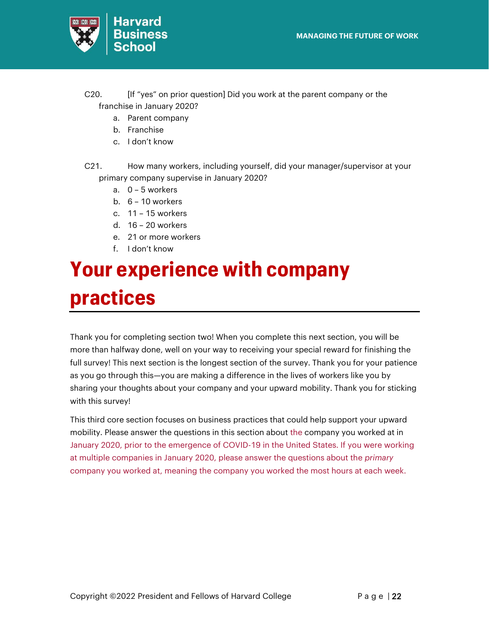

- C20. [If "yes" on prior question] Did you work at the parent company or the franchise in January 2020?
	- a. Parent company
	- b. Franchise
	- c. I don't know
- C21. How many workers, including yourself, did your manager/supervisor at your primary company supervise in January 2020?
	- a. 0 5 workers
	- b.  $6 10$  workers
	- c. 11 15 workers
	- d. 16 20 workers
	- e. 21 or more workers
	- f. I don't know

# <span id="page-21-0"></span>**Your experience with company practices**

Thank you for completing section two! When you complete this next section, you will be more than halfway done, well on your way to receiving your special reward for finishing the full survey! This next section is the longest section of the survey. Thank you for your patience as you go through this—you are making a difference in the lives of workers like you by sharing your thoughts about your company and your upward mobility. Thank you for sticking with this survey!

This third core section focuses on business practices that could help support your upward mobility. Please answer the questions in this section about the company you worked at in January 2020, prior to the emergence of COVID-19 in the United States. If you were working at multiple companies in January 2020, please answer the questions about the *primary* company you worked at, meaning the company you worked the most hours at each week.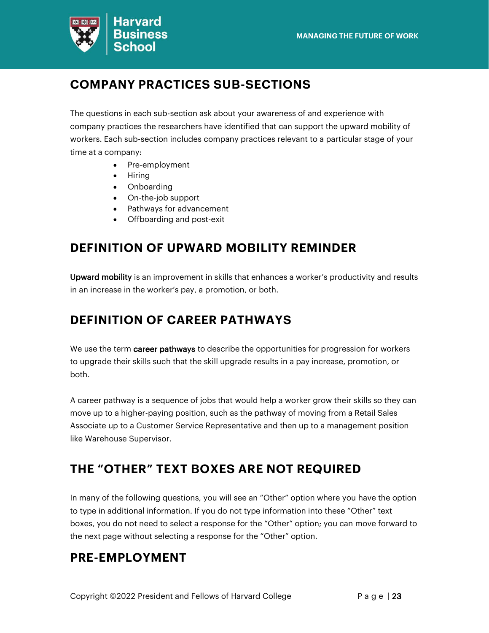

## **COMPANY PRACTICES SUB-SECTIONS**

The questions in each sub-section ask about your awareness of and experience with company practices the researchers have identified that can support the upward mobility of workers. Each sub-section includes company practices relevant to a particular stage of your time at a company:

- Pre-employment
- Hiring
- Onboarding
- On-the-job support
- Pathways for advancement
- Offboarding and post-exit

## **DEFINITION OF UPWARD MOBILITY REMINDER**

Upward mobility is an improvement in skills that enhances a worker's productivity and results in an increase in the worker's pay, a promotion, or both.

## **DEFINITION OF CAREER PATHWAYS**

We use the term career pathways to describe the opportunities for progression for workers to upgrade their skills such that the skill upgrade results in a pay increase, promotion, or both.

A career pathway is a sequence of jobs that would help a worker grow their skills so they can move up to a higher-paying position, such as the pathway of moving from a Retail Sales Associate up to a Customer Service Representative and then up to a management position like Warehouse Supervisor.

## **THE "OTHER" TEXT BOXES ARE NOT REQUIRED**

In many of the following questions, you will see an "Other" option where you have the option to type in additional information. If you do not type information into these "Other" text boxes, you do not need to select a response for the "Other" option; you can move forward to the next page without selecting a response for the "Other" option.

## **PRE-EMPLOYMENT**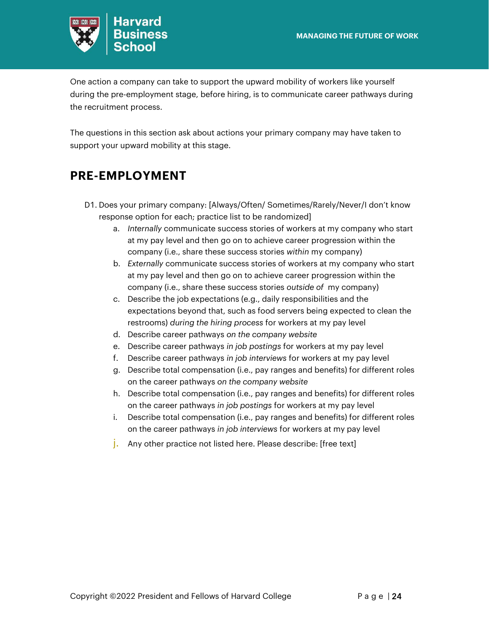

One action a company can take to support the upward mobility of workers like yourself during the pre-employment stage, before hiring, is to communicate career pathways during the recruitment process.

The questions in this section ask about actions your primary company may have taken to support your upward mobility at this stage.

## **PRE-EMPLOYMENT**

- D1. Does your primary company: [Always/Often/ Sometimes/Rarely/Never/I don't know response option for each; practice list to be randomized]
	- a. *Internally* communicate success stories of workers at my company who start at my pay level and then go on to achieve career progression within the company (i.e., share these success stories *within* my company)
	- b. *Externally* communicate success stories of workers at my company who start at my pay level and then go on to achieve career progression within the company (i.e., share these success stories *outside of* my company)
	- c. Describe the job expectations (e.g., daily responsibilities and the expectations beyond that, such as food servers being expected to clean the restrooms) *during the hiring process* for workers at my pay level
	- d. Describe career pathways *on the company website*
	- e. Describe career pathways *in job postings* for workers at my pay level
	- f. Describe career pathways *in job interviews* for workers at my pay level
	- g. Describe total compensation (i.e., pay ranges and benefits) for different roles on the career pathways *on the company website*
	- h. Describe total compensation (i.e., pay ranges and benefits) for different roles on the career pathways *in job postings* for workers at my pay level
	- i. Describe total compensation (i.e., pay ranges and benefits) for different roles on the career pathways *in job interviews* for workers at my pay level
	- j. Any other practice not listed here. Please describe: [free text]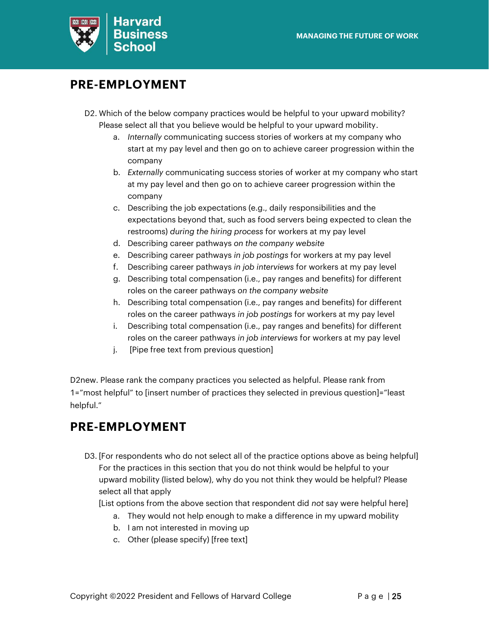

## **PRE-EMPLOYMENT**

- D2. Which of the below company practices would be helpful to your upward mobility? Please select all that you believe would be helpful to your upward mobility.
	- a. *Internally* communicating success stories of workers at my company who start at my pay level and then go on to achieve career progression within the company
	- b. *Externally* communicating success stories of worker at my company who start at my pay level and then go on to achieve career progression within the company
	- c. Describing the job expectations (e.g., daily responsibilities and the expectations beyond that, such as food servers being expected to clean the restrooms) *during the hiring process* for workers at my pay level
	- d. Describing career pathways *on the company website*
	- e. Describing career pathways *in job postings* for workers at my pay level
	- f. Describing career pathways *in job interviews* for workers at my pay level
	- g. Describing total compensation (i.e., pay ranges and benefits) for different roles on the career pathways *on the company website*
	- h. Describing total compensation (i.e., pay ranges and benefits) for different roles on the career pathways *in job postings* for workers at my pay level
	- i. Describing total compensation (i.e., pay ranges and benefits) for different roles on the career pathways *in job interviews* for workers at my pay level
	- j. [Pipe free text from previous question]

D2new. Please rank the company practices you selected as helpful. Please rank from 1="most helpful" to [insert number of practices they selected in previous question]="least helpful."

## **PRE-EMPLOYMENT**

D3. [For respondents who do not select all of the practice options above as being helpful] For the practices in this section that you do not think would be helpful to your upward mobility (listed below), why do you not think they would be helpful? Please select all that apply

[List options from the above section that respondent did *not* say were helpful here]

- a. They would not help enough to make a difference in my upward mobility
- b. I am not interested in moving up
- c. Other (please specify) [free text]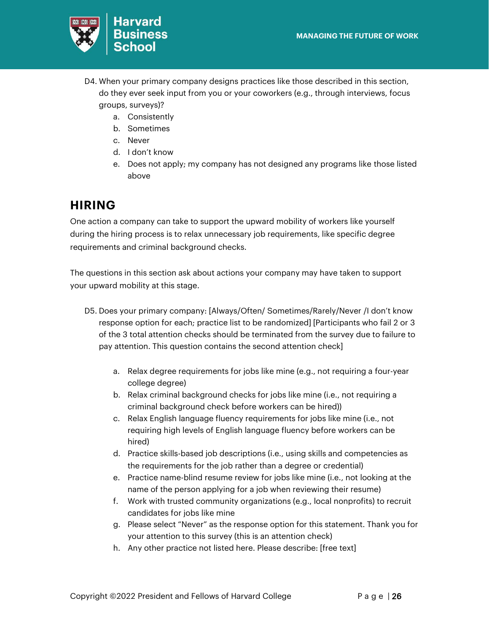

- D4. When your primary company designs practices like those described in this section, do they ever seek input from you or your coworkers (e.g., through interviews, focus groups, surveys)?
	- a. Consistently
	- b. Sometimes
	- c. Never
	- d. I don't know
	- e. Does not apply; my company has not designed any programs like those listed above

## **HIRING**

One action a company can take to support the upward mobility of workers like yourself during the hiring process is to relax unnecessary job requirements, like specific degree requirements and criminal background checks.

The questions in this section ask about actions your company may have taken to support your upward mobility at this stage.

- D5. Does your primary company: [Always/Often/ Sometimes/Rarely/Never /I don't know response option for each; practice list to be randomized] [Participants who fail 2 or 3 of the 3 total attention checks should be terminated from the survey due to failure to pay attention. This question contains the second attention check]
	- a. Relax degree requirements for jobs like mine (e.g., not requiring a four-year college degree)
	- b. Relax criminal background checks for jobs like mine (i.e., not requiring a criminal background check before workers can be hired))
	- c. Relax English language fluency requirements for jobs like mine (i.e., not requiring high levels of English language fluency before workers can be hired)
	- d. Practice skills-based job descriptions (i.e., using skills and competencies as the requirements for the job rather than a degree or credential)
	- e. Practice name-blind resume review for jobs like mine (i.e., not looking at the name of the person applying for a job when reviewing their resume)
	- f. Work with trusted community organizations (e.g., local nonprofits) to recruit candidates for jobs like mine
	- g. Please select "Never" as the response option for this statement. Thank you for your attention to this survey (this is an attention check)
	- h. Any other practice not listed here. Please describe: [free text]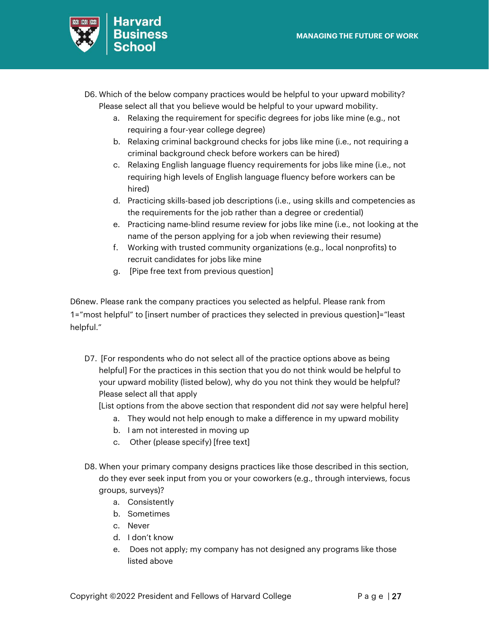

- D6. Which of the below company practices would be helpful to your upward mobility? Please select all that you believe would be helpful to your upward mobility.
	- a. Relaxing the requirement for specific degrees for jobs like mine (e.g., not requiring a four-year college degree)
	- b. Relaxing criminal background checks for jobs like mine (i.e., not requiring a criminal background check before workers can be hired)
	- c. Relaxing English language fluency requirements for jobs like mine (i.e., not requiring high levels of English language fluency before workers can be hired)
	- d. Practicing skills-based job descriptions (i.e., using skills and competencies as the requirements for the job rather than a degree or credential)
	- e. Practicing name-blind resume review for jobs like mine (i.e., not looking at the name of the person applying for a job when reviewing their resume)
	- f. Working with trusted community organizations (e.g., local nonprofits) to recruit candidates for jobs like mine
	- g. [Pipe free text from previous question]

D6new. Please rank the company practices you selected as helpful. Please rank from 1="most helpful" to [insert number of practices they selected in previous question]="least helpful."

D7. [For respondents who do not select all of the practice options above as being helpful] For the practices in this section that you do not think would be helpful to your upward mobility (listed below), why do you not think they would be helpful? Please select all that apply

[List options from the above section that respondent did *not* say were helpful here]

- a. They would not help enough to make a difference in my upward mobility
- b. I am not interested in moving up
- c. Other (please specify) [free text]
- D8. When your primary company designs practices like those described in this section, do they ever seek input from you or your coworkers (e.g., through interviews, focus groups, surveys)?
	- a. Consistently
	- b. Sometimes
	- c. Never
	- d. I don't know
	- e. Does not apply; my company has not designed any programs like those listed above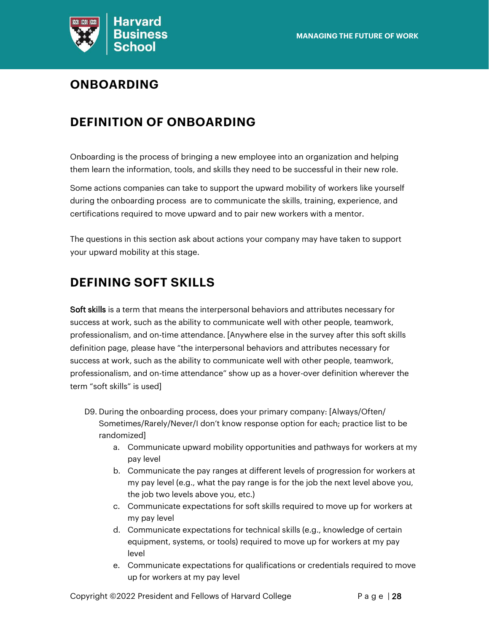

## **ONBOARDING**

## **DEFINITION OF ONBOARDING**

Onboarding is the process of bringing a new employee into an organization and helping them learn the information, tools, and skills they need to be successful in their new role.

Some actions companies can take to support the upward mobility of workers like yourself during the onboarding process are to communicate the skills, training, experience, and certifications required to move upward and to pair new workers with a mentor.

The questions in this section ask about actions your company may have taken to support your upward mobility at this stage.

## **DEFINING SOFT SKILLS**

Soft skills is a term that means the interpersonal behaviors and attributes necessary for success at work, such as the ability to communicate well with other people, teamwork, professionalism, and on-time attendance. [Anywhere else in the survey after this soft skills definition page, please have "the interpersonal behaviors and attributes necessary for success at work, such as the ability to communicate well with other people, teamwork, professionalism, and on-time attendance" show up as a hover-over definition wherever the term "soft skills" is used]

- D9. During the onboarding process, does your primary company: [Always/Often/ Sometimes/Rarely/Never/I don't know response option for each; practice list to be randomized]
	- a. Communicate upward mobility opportunities and pathways for workers at my pay level
	- b. Communicate the pay ranges at different levels of progression for workers at my pay level (e.g., what the pay range is for the job the next level above you, the job two levels above you, etc.)
	- c. Communicate expectations for soft skills required to move up for workers at my pay level
	- d. Communicate expectations for technical skills (e.g., knowledge of certain equipment, systems, or tools) required to move up for workers at my pay level
	- e. Communicate expectations for qualifications or credentials required to move up for workers at my pay level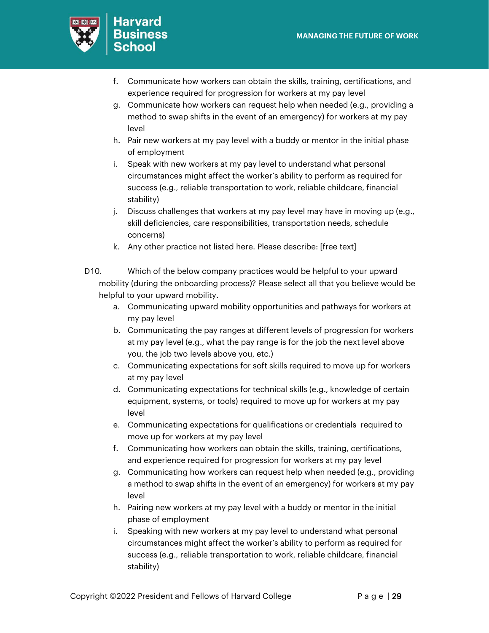

- f. Communicate how workers can obtain the skills, training, certifications, and experience required for progression for workers at my pay level
- g. Communicate how workers can request help when needed (e.g., providing a method to swap shifts in the event of an emergency) for workers at my pay level
- h. Pair new workers at my pay level with a buddy or mentor in the initial phase of employment
- i. Speak with new workers at my pay level to understand what personal circumstances might affect the worker's ability to perform as required for success (e.g., reliable transportation to work, reliable childcare, financial stability)
- j. Discuss challenges that workers at my pay level may have in moving up (e.g., skill deficiencies, care responsibilities, transportation needs, schedule concerns)
- k. Any other practice not listed here. Please describe: [free text]
- D10. Which of the below company practices would be helpful to your upward mobility (during the onboarding process)? Please select all that you believe would be helpful to your upward mobility.
	- a. Communicating upward mobility opportunities and pathways for workers at my pay level
	- b. Communicating the pay ranges at different levels of progression for workers at my pay level (e.g., what the pay range is for the job the next level above you, the job two levels above you, etc.)
	- c. Communicating expectations for soft skills required to move up for workers at my pay level
	- d. Communicating expectations for technical skills (e.g., knowledge of certain equipment, systems, or tools) required to move up for workers at my pay level
	- e. Communicating expectations for qualifications or credentials required to move up for workers at my pay level
	- f. Communicating how workers can obtain the skills, training, certifications, and experience required for progression for workers at my pay level
	- g. Communicating how workers can request help when needed (e.g., providing a method to swap shifts in the event of an emergency) for workers at my pay level
	- h. Pairing new workers at my pay level with a buddy or mentor in the initial phase of employment
	- i. Speaking with new workers at my pay level to understand what personal circumstances might affect the worker's ability to perform as required for success (e.g., reliable transportation to work, reliable childcare, financial stability)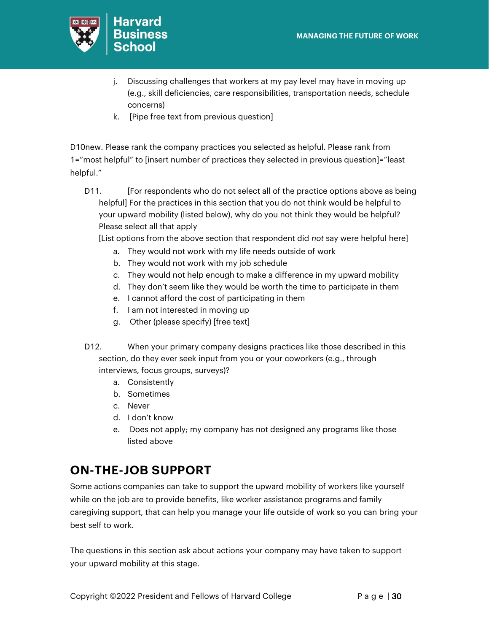

- j. Discussing challenges that workers at my pay level may have in moving up (e.g., skill deficiencies, care responsibilities, transportation needs, schedule concerns)
- k. [Pipe free text from previous question]

D10new. Please rank the company practices you selected as helpful. Please rank from 1="most helpful" to [insert number of practices they selected in previous question]="least helpful."

D11. [For respondents who do not select all of the practice options above as being helpful] For the practices in this section that you do not think would be helpful to your upward mobility (listed below), why do you not think they would be helpful? Please select all that apply

[List options from the above section that respondent did *not* say were helpful here]

- a. They would not work with my life needs outside of work
- b. They would not work with my job schedule
- c. They would not help enough to make a difference in my upward mobility
- d. They don't seem like they would be worth the time to participate in them
- e. I cannot afford the cost of participating in them
- f. I am not interested in moving up
- g. Other (please specify) [free text]
- D12. When your primary company designs practices like those described in this section, do they ever seek input from you or your coworkers (e.g., through interviews, focus groups, surveys)?
	- a. Consistently
	- b. Sometimes
	- c. Never
	- d. I don't know
	- e. Does not apply; my company has not designed any programs like those listed above

## **ON-THE-JOB SUPPORT**

Some actions companies can take to support the upward mobility of workers like yourself while on the job are to provide benefits, like worker assistance programs and family caregiving support, that can help you manage your life outside of work so you can bring your best self to work.

The questions in this section ask about actions your company may have taken to support your upward mobility at this stage.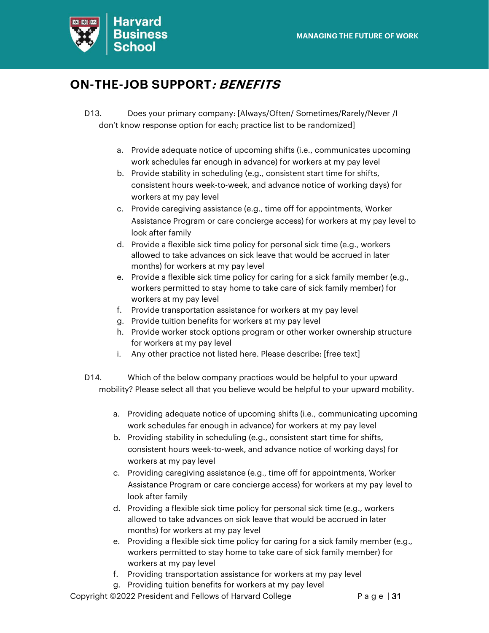

## **ON-THE-JOB SUPPORT: BENEFITS**

- D13. Does your primary company: [Always/Often/ Sometimes/Rarely/Never /I don't know response option for each; practice list to be randomized]
	- a. Provide adequate notice of upcoming shifts (i.e., communicates upcoming work schedules far enough in advance) for workers at my pay level
	- b. Provide stability in scheduling (e.g., consistent start time for shifts, consistent hours week-to-week, and advance notice of working days) for workers at my pay level
	- c. Provide caregiving assistance (e.g., time off for appointments, Worker Assistance Program or care concierge access) for workers at my pay level to look after family
	- d. Provide a flexible sick time policy for personal sick time (e.g., workers allowed to take advances on sick leave that would be accrued in later months) for workers at my pay level
	- e. Provide a flexible sick time policy for caring for a sick family member (e.g., workers permitted to stay home to take care of sick family member) for workers at my pay level
	- f. Provide transportation assistance for workers at my pay level
	- g. Provide tuition benefits for workers at my pay level
	- h. Provide worker stock options program or other worker ownership structure for workers at my pay level
	- i. Any other practice not listed here. Please describe: [free text]
- D14. Which of the below company practices would be helpful to your upward mobility? Please select all that you believe would be helpful to your upward mobility.
	- a. Providing adequate notice of upcoming shifts (i.e., communicating upcoming work schedules far enough in advance) for workers at my pay level
	- b. Providing stability in scheduling (e.g., consistent start time for shifts, consistent hours week-to-week, and advance notice of working days) for workers at my pay level
	- c. Providing caregiving assistance (e.g., time off for appointments, Worker Assistance Program or care concierge access) for workers at my pay level to look after family
	- d. Providing a flexible sick time policy for personal sick time (e.g., workers allowed to take advances on sick leave that would be accrued in later months) for workers at my pay level
	- e. Providing a flexible sick time policy for caring for a sick family member (e.g., workers permitted to stay home to take care of sick family member) for workers at my pay level
	- f. Providing transportation assistance for workers at my pay level
	- g. Providing tuition benefits for workers at my pay level

Copyright ©2022 President and Fellows of Harvard College P a g e | 31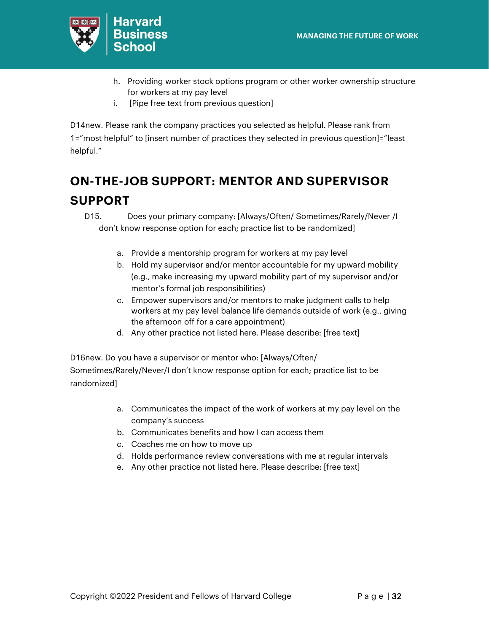

- h. Providing worker stock options program or other worker ownership structure for workers at my pay level
- i. [Pipe free text from previous question]

D14new. Please rank the company practices you selected as helpful. Please rank from 1="most helpful" to [insert number of practices they selected in previous question]="least helpful."

## **ON-THE-JOB SUPPORT: MENTOR AND SUPERVISOR SUPPORT**

D15. Does your primary company: [Always/Often/ Sometimes/Rarely/Never /I don't know response option for each; practice list to be randomized]

- a. Provide a mentorship program for workers at my pay level
- b. Hold my supervisor and/or mentor accountable for my upward mobility (e.g., make increasing my upward mobility part of my supervisor and/or mentor's formal job responsibilities)
- c. Empower supervisors and/or mentors to make judgment calls to help workers at my pay level balance life demands outside of work (e.g., giving the afternoon off for a care appointment)
- d. Any other practice not listed here. Please describe: [free text]

D16new. Do you have a supervisor or mentor who: [Always/Often/ Sometimes/Rarely/Never/I don't know response option for each; practice list to be randomized]

- a. Communicates the impact of the work of workers at my pay level on the company's success
- b. Communicates benefits and how I can access them
- c. Coaches me on how to move up
- d. Holds performance review conversations with me at regular intervals
- e. Any other practice not listed here. Please describe: [free text]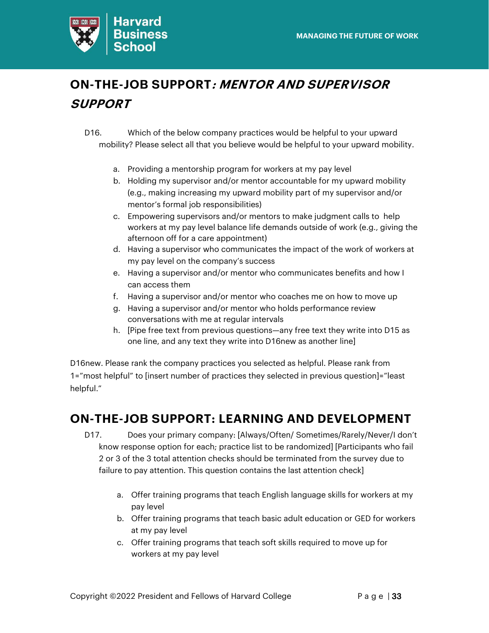

## **ON-THE-JOB SUPPORT: MENTOR AND SUPERVISOR SUPPORT**

- D16. Which of the below company practices would be helpful to your upward mobility? Please select all that you believe would be helpful to your upward mobility.
	- a. Providing a mentorship program for workers at my pay level
	- b. Holding my supervisor and/or mentor accountable for my upward mobility (e.g., making increasing my upward mobility part of my supervisor and/or mentor's formal job responsibilities)
	- c. Empowering supervisors and/or mentors to make judgment calls to help workers at my pay level balance life demands outside of work (e.g., giving the afternoon off for a care appointment)
	- d. Having a supervisor who communicates the impact of the work of workers at my pay level on the company's success
	- e. Having a supervisor and/or mentor who communicates benefits and how I can access them
	- f. Having a supervisor and/or mentor who coaches me on how to move up
	- g. Having a supervisor and/or mentor who holds performance review conversations with me at regular intervals
	- h. [Pipe free text from previous questions—any free text they write into D15 as one line, and any text they write into D16new as another line]

D16new. Please rank the company practices you selected as helpful. Please rank from 1="most helpful" to [insert number of practices they selected in previous question]="least helpful."

### **ON-THE-JOB SUPPORT: LEARNING AND DEVELOPMENT**

- D17. Does your primary company: [Always/Often/ Sometimes/Rarely/Never/I don't know response option for each; practice list to be randomized] [Participants who fail 2 or 3 of the 3 total attention checks should be terminated from the survey due to failure to pay attention. This question contains the last attention check]
	- a. Offer training programs that teach English language skills for workers at my pay level
	- b. Offer training programs that teach basic adult education or GED for workers at my pay level
	- c. Offer training programs that teach soft skills required to move up for workers at my pay level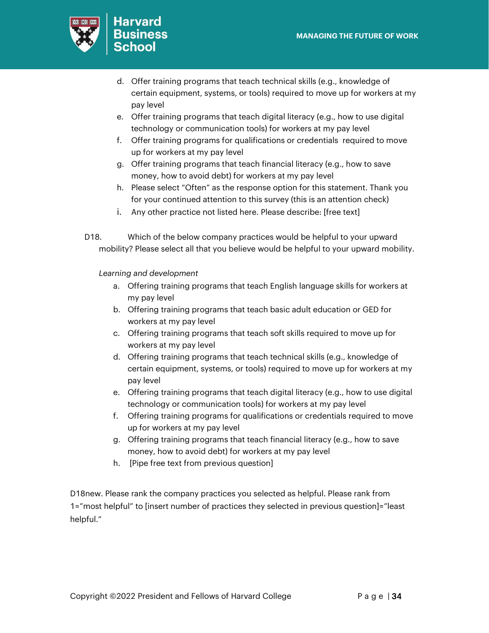

- d. Offer training programs that teach technical skills (e.g., knowledge of certain equipment, systems, or tools) required to move up for workers at my pay level
- e. Offer training programs that teach digital literacy (e.g., how to use digital technology or communication tools) for workers at my pay level
- f. Offer training programs for qualifications or credentials required to move up for workers at my pay level
- g. Offer training programs that teach financial literacy (e.g., how to save money, how to avoid debt) for workers at my pay level
- h. Please select "Often" as the response option for this statement. Thank you for your continued attention to this survey (this is an attention check)
- i. Any other practice not listed here. Please describe: [free text]
- D18. Which of the below company practices would be helpful to your upward mobility? Please select all that you believe would be helpful to your upward mobility.

*Learning and development*

- a. Offering training programs that teach English language skills for workers at my pay level
- b. Offering training programs that teach basic adult education or GED for workers at my pay level
- c. Offering training programs that teach soft skills required to move up for workers at my pay level
- d. Offering training programs that teach technical skills (e.g., knowledge of certain equipment, systems, or tools) required to move up for workers at my pay level
- e. Offering training programs that teach digital literacy (e.g., how to use digital technology or communication tools) for workers at my pay level
- f. Offering training programs for qualifications or credentials required to move up for workers at my pay level
- g. Offering training programs that teach financial literacy (e.g., how to save money, how to avoid debt) for workers at my pay level
- h. [Pipe free text from previous question]

D18new. Please rank the company practices you selected as helpful. Please rank from 1="most helpful" to [insert number of practices they selected in previous question]="least helpful."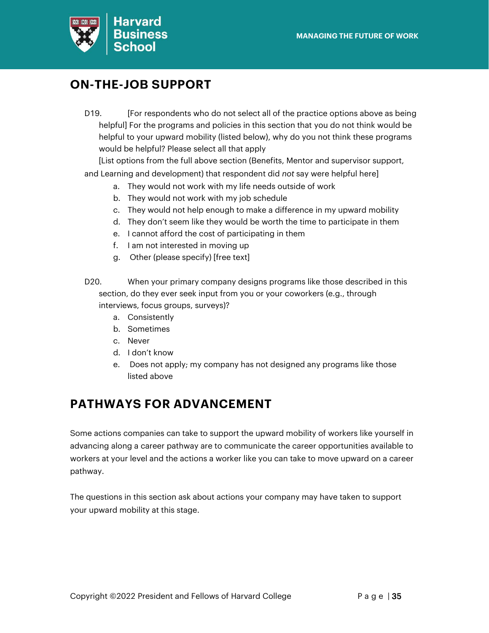

## **ON-THE-JOB SUPPORT**

D19. [For respondents who do not select all of the practice options above as being helpful] For the programs and policies in this section that you do not think would be helpful to your upward mobility (listed below), why do you not think these programs would be helpful? Please select all that apply

[List options from the full above section (Benefits, Mentor and supervisor support, and Learning and development) that respondent did *not* say were helpful here]

- a. They would not work with my life needs outside of work
- b. They would not work with my job schedule
- c. They would not help enough to make a difference in my upward mobility
- d. They don't seem like they would be worth the time to participate in them
- e. I cannot afford the cost of participating in them
- f. I am not interested in moving up
- g. Other (please specify) [free text]
- D20. When your primary company designs programs like those described in this section, do they ever seek input from you or your coworkers (e.g., through interviews, focus groups, surveys)?
	- a. Consistently
	- b. Sometimes
	- c. Never
	- d. I don't know
	- e. Does not apply; my company has not designed any programs like those listed above

### **PATHWAYS FOR ADVANCEMENT**

Some actions companies can take to support the upward mobility of workers like yourself in advancing along a career pathway are to communicate the career opportunities available to workers at your level and the actions a worker like you can take to move upward on a career pathway.

The questions in this section ask about actions your company may have taken to support your upward mobility at this stage.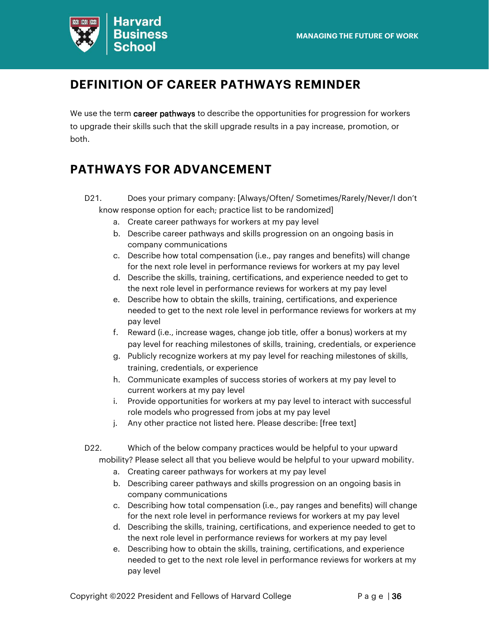

## **DEFINITION OF CAREER PATHWAYS REMINDER**

We use the term career pathways to describe the opportunities for progression for workers to upgrade their skills such that the skill upgrade results in a pay increase, promotion, or both.

## **PATHWAYS FOR ADVANCEMENT**

- D21. Does your primary company: [Always/Often/ Sometimes/Rarely/Never/I don't know response option for each; practice list to be randomized]
	- a. Create career pathways for workers at my pay level
	- b. Describe career pathways and skills progression on an ongoing basis in company communications
	- c. Describe how total compensation (i.e., pay ranges and benefits) will change for the next role level in performance reviews for workers at my pay level
	- d. Describe the skills, training, certifications, and experience needed to get to the next role level in performance reviews for workers at my pay level
	- e. Describe how to obtain the skills, training, certifications, and experience needed to get to the next role level in performance reviews for workers at my pay level
	- f. Reward (i.e., increase wages, change job title, offer a bonus) workers at my pay level for reaching milestones of skills, training, credentials, or experience
	- g. Publicly recognize workers at my pay level for reaching milestones of skills, training, credentials, or experience
	- h. Communicate examples of success stories of workers at my pay level to current workers at my pay level
	- i. Provide opportunities for workers at my pay level to interact with successful role models who progressed from jobs at my pay level
	- j. Any other practice not listed here. Please describe: [free text]
- D22. Which of the below company practices would be helpful to your upward mobility? Please select all that you believe would be helpful to your upward mobility.
	- a. Creating career pathways for workers at my pay level
	- b. Describing career pathways and skills progression on an ongoing basis in company communications
	- c. Describing how total compensation (i.e., pay ranges and benefits) will change for the next role level in performance reviews for workers at my pay level
	- d. Describing the skills, training, certifications, and experience needed to get to the next role level in performance reviews for workers at my pay level
	- e. Describing how to obtain the skills, training, certifications, and experience needed to get to the next role level in performance reviews for workers at my pay level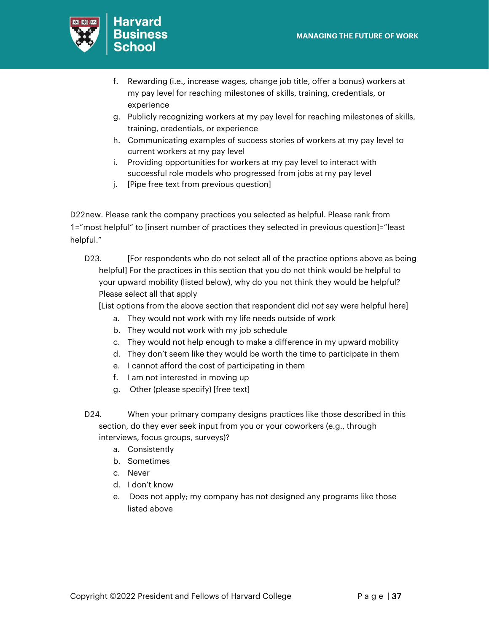

- f. Rewarding (i.e., increase wages, change job title, offer a bonus) workers at my pay level for reaching milestones of skills, training, credentials, or experience
- g. Publicly recognizing workers at my pay level for reaching milestones of skills, training, credentials, or experience
- h. Communicating examples of success stories of workers at my pay level to current workers at my pay level
- i. Providing opportunities for workers at my pay level to interact with successful role models who progressed from jobs at my pay level
- j. [Pipe free text from previous question]

D22new. Please rank the company practices you selected as helpful. Please rank from 1="most helpful" to [insert number of practices they selected in previous question]="least helpful."

D23. [For respondents who do not select all of the practice options above as being helpful] For the practices in this section that you do not think would be helpful to your upward mobility (listed below), why do you not think they would be helpful? Please select all that apply

[List options from the above section that respondent did *not* say were helpful here]

- a. They would not work with my life needs outside of work
- b. They would not work with my job schedule
- c. They would not help enough to make a difference in my upward mobility
- d. They don't seem like they would be worth the time to participate in them
- e. I cannot afford the cost of participating in them
- f. I am not interested in moving up
- g. Other (please specify) [free text]
- D24. When your primary company designs practices like those described in this section, do they ever seek input from you or your coworkers (e.g., through interviews, focus groups, surveys)?
	- a. Consistently
	- b. Sometimes
	- c. Never
	- d. I don't know
	- e. Does not apply; my company has not designed any programs like those listed above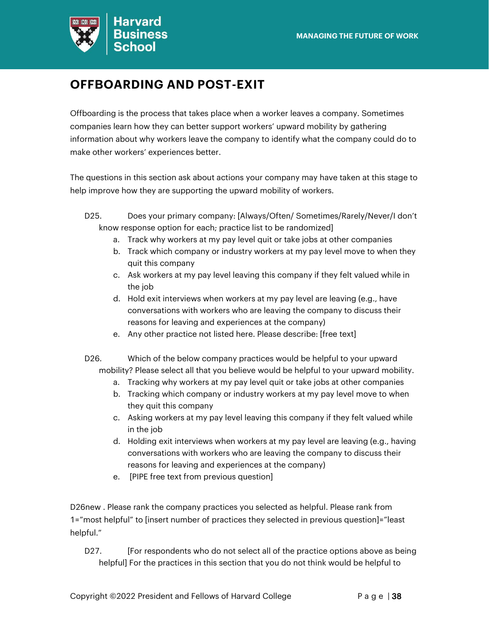

## **OFFBOARDING AND POST-EXIT**

Offboarding is the process that takes place when a worker leaves a company. Sometimes companies learn how they can better support workers' upward mobility by gathering information about why workers leave the company to identify what the company could do to make other workers' experiences better.

The questions in this section ask about actions your company may have taken at this stage to help improve how they are supporting the upward mobility of workers.

- D25. Does your primary company: [Always/Often/ Sometimes/Rarely/Never/I don't know response option for each; practice list to be randomized]
	- a. Track why workers at my pay level quit or take jobs at other companies
	- b. Track which company or industry workers at my pay level move to when they quit this company
	- c. Ask workers at my pay level leaving this company if they felt valued while in the job
	- d. Hold exit interviews when workers at my pay level are leaving (e.g., have conversations with workers who are leaving the company to discuss their reasons for leaving and experiences at the company)
	- e. Any other practice not listed here. Please describe: [free text]

D26. Which of the below company practices would be helpful to your upward mobility? Please select all that you believe would be helpful to your upward mobility.

- a. Tracking why workers at my pay level quit or take jobs at other companies
- b. Tracking which company or industry workers at my pay level move to when they quit this company
- c. Asking workers at my pay level leaving this company if they felt valued while in the job
- d. Holding exit interviews when workers at my pay level are leaving (e.g., having conversations with workers who are leaving the company to discuss their reasons for leaving and experiences at the company)
- e. [PIPE free text from previous question]

D26new . Please rank the company practices you selected as helpful. Please rank from 1="most helpful" to [insert number of practices they selected in previous question]="least helpful."

D27. **If all I For respondents who do not select all of the practice options above as being** helpful] For the practices in this section that you do not think would be helpful to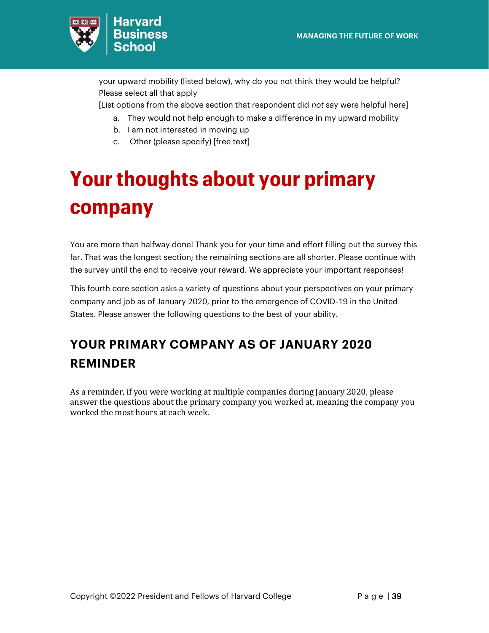

your upward mobility (listed below), why do you not think they would be helpful? Please select all that apply

[List options from the above section that respondent did *not* say were helpful here]

- a. They would not help enough to make a difference in my upward mobility
- b. I am not interested in moving up
- c. Other (please specify) [free text]

# <span id="page-38-0"></span>**Your thoughts about your primary company**

You are more than halfway done! Thank you for your time and effort filling out the survey this far. That was the longest section; the remaining sections are all shorter. Please continue with the survey until the end to receive your reward. We appreciate your important responses!

This fourth core section asks a variety of questions about your perspectives on your primary company and job as of January 2020, prior to the emergence of COVID-19 in the United States. Please answer the following questions to the best of your ability.

## **YOUR PRIMARY COMPANY AS OF JANUARY 2020 REMINDER**

As a reminder, if you were working at multiple companies during January 2020, please answer the questions about the primary company you worked at, meaning the company you worked the most hours at each week.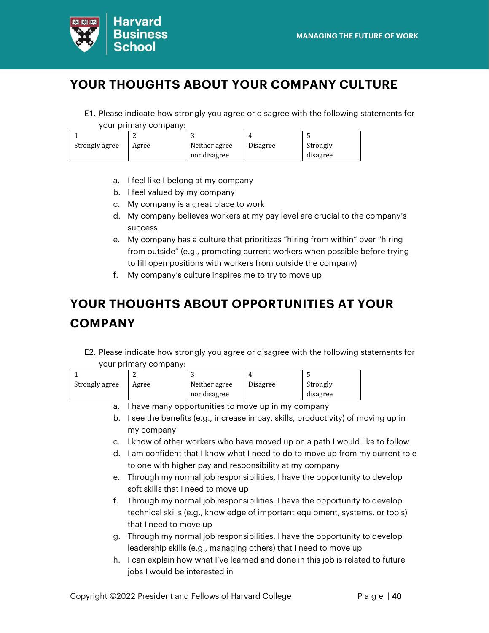

## **YOUR THOUGHTS ABOUT YOUR COMPANY CULTURE**

E1. Please indicate how strongly you agree or disagree with the following statements for

your primary company:

| Strongly agree | Agree | Neither agree | Disagree | Strongly |
|----------------|-------|---------------|----------|----------|
|                |       | nor disagree  |          | disagree |

- a. I feel like I belong at my company
- b. I feel valued by my company
- c. My company is a great place to work
- d. My company believes workers at my pay level are crucial to the company's success
- e. My company has a culture that prioritizes "hiring from within" over "hiring from outside" (e.g., promoting current workers when possible before trying to fill open positions with workers from outside the company)
- f. My company's culture inspires me to try to move up

## **YOUR THOUGHTS ABOUT OPPORTUNITIES AT YOUR COMPANY**

E2. Please indicate how strongly you agree or disagree with the following statements for your primary company:

|                |       |               | Д.       |          |
|----------------|-------|---------------|----------|----------|
| Strongly agree | Agree | Neither agree | Disagree | Strongly |
|                |       | nor disagree  |          | disagree |
|                |       |               |          |          |

- a. I have many opportunities to move up in my company
- b. I see the benefits (e.g., increase in pay, skills, productivity) of moving up in my company
- c. I know of other workers who have moved up on a path I would like to follow
- d. I am confident that I know what I need to do to move up from my current role to one with higher pay and responsibility at my company
- e. Through my normal job responsibilities, I have the opportunity to develop soft skills that I need to move up
- f. Through my normal job responsibilities, I have the opportunity to develop technical skills (e.g., knowledge of important equipment, systems, or tools) that I need to move up
- g. Through my normal job responsibilities, I have the opportunity to develop leadership skills (e.g., managing others) that I need to move up
- h. I can explain how what I've learned and done in this job is related to future jobs I would be interested in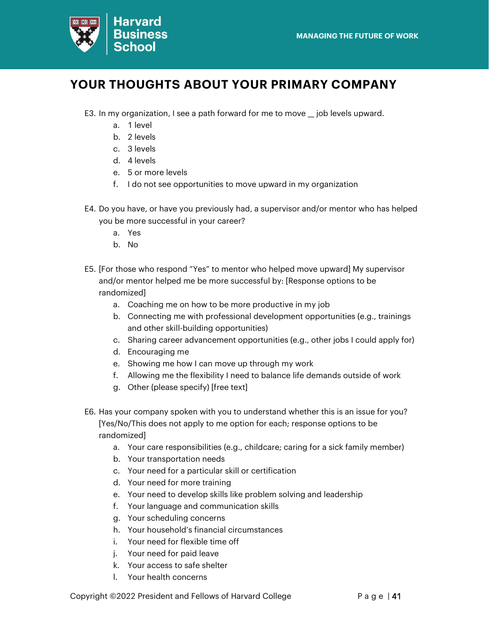

## **YOUR THOUGHTS ABOUT YOUR PRIMARY COMPANY**

- E3. In my organization, I see a path forward for me to move \_job levels upward.
	- a. 1 level
	- b. 2 levels
	- c. 3 levels
	- d. 4 levels
	- e. 5 or more levels
	- f. I do not see opportunities to move upward in my organization
- E4. Do you have, or have you previously had, a supervisor and/or mentor who has helped you be more successful in your career?
	- a. Yes
	- b. No
- E5. [For those who respond "Yes" to mentor who helped move upward] My supervisor and/or mentor helped me be more successful by: [Response options to be randomized]
	- a. Coaching me on how to be more productive in my job
	- b. Connecting me with professional development opportunities (e.g., trainings and other skill-building opportunities)
	- c. Sharing career advancement opportunities (e.g., other jobs I could apply for)
	- d. Encouraging me
	- e. Showing me how I can move up through my work
	- f. Allowing me the flexibility I need to balance life demands outside of work
	- g. Other (please specify) [free text]
- E6. Has your company spoken with you to understand whether this is an issue for you? [Yes/No/This does not apply to me option for each; response options to be randomized]
	- a. Your care responsibilities (e.g., childcare; caring for a sick family member)
	- b. Your transportation needs
	- c. Your need for a particular skill or certification
	- d. Your need for more training
	- e. Your need to develop skills like problem solving and leadership
	- f. Your language and communication skills
	- g. Your scheduling concerns
	- h. Your household's financial circumstances
	- i. Your need for flexible time off
	- j. Your need for paid leave
	- k. Your access to safe shelter
	- l. Your health concerns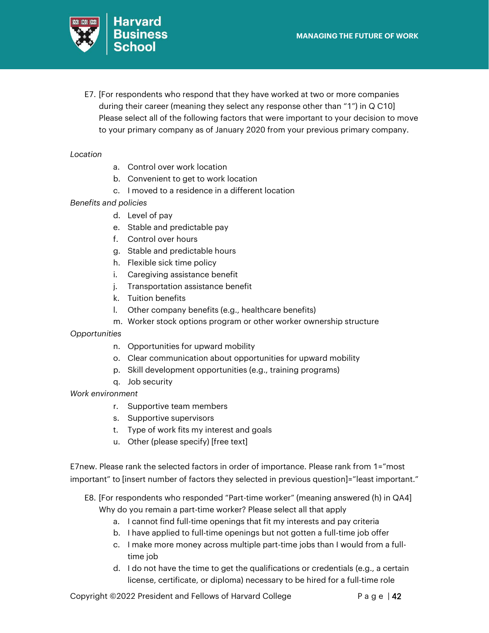

E7. [For respondents who respond that they have worked at two or more companies during their career (meaning they select any response other than "1") in Q C10] Please select all of the following factors that were important to your decision to move to your primary company as of January 2020 from your previous primary company.

### *Location*

- a. Control over work location
- b. Convenient to get to work location
- c. I moved to a residence in a different location

### *Benefits and policies*

- d. Level of pay
- e. Stable and predictable pay
- f. Control over hours
- g. Stable and predictable hours
- h. Flexible sick time policy
- i. Caregiving assistance benefit
- j. Transportation assistance benefit
- k. Tuition benefits
- l. Other company benefits (e.g., healthcare benefits)
- m. Worker stock options program or other worker ownership structure
- *Opportunities*
	- n. Opportunities for upward mobility
	- o. Clear communication about opportunities for upward mobility
	- p. Skill development opportunities (e.g., training programs)
	- q. Job security
- *Work environment*
	- r. Supportive team members
	- s. Supportive supervisors
	- t. Type of work fits my interest and goals
	- u. Other (please specify) [free text]

E7new. Please rank the selected factors in order of importance. Please rank from 1="most important" to [insert number of factors they selected in previous question]="least important."

- E8. [For respondents who responded "Part-time worker" (meaning answered (h) in QA4] Why do you remain a part-time worker? Please select all that apply
	- a. I cannot find full-time openings that fit my interests and pay criteria
	- b. I have applied to full-time openings but not gotten a full-time job offer
	- c. I make more money across multiple part-time jobs than I would from a fulltime job
	- d. I do not have the time to get the qualifications or credentials (e.g., a certain license, certificate, or diploma) necessary to be hired for a full-time role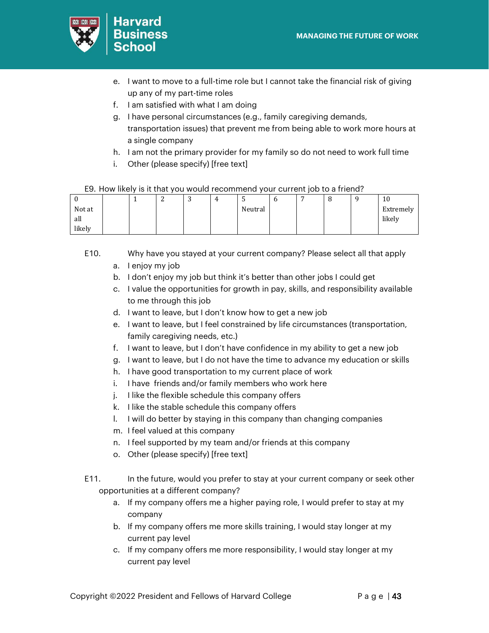

- e. I want to move to a full-time role but I cannot take the financial risk of giving up any of my part-time roles
- f. I am satisfied with what I am doing
- g. I have personal circumstances (e.g., family caregiving demands, transportation issues) that prevent me from being able to work more hours at a single company
- h. I am not the primary provider for my family so do not need to work full time
- i. Other (please specify) [free text]

### E9. How likely is it that you would recommend your current job to a friend?

| ν      |  | -<br>∼ | $\sim$<br>ັ | 4 | ◡       | υ | - | u | 10        |
|--------|--|--------|-------------|---|---------|---|---|---|-----------|
| Not at |  |        |             |   | Neutral |   |   |   | Extremely |
| all    |  |        |             |   |         |   |   |   | likely    |
| likely |  |        |             |   |         |   |   |   |           |

### E10. Why have you stayed at your current company? Please select all that apply a. I enjoy my job

- b. I don't enjoy my job but think it's better than other jobs I could get
- c. I value the opportunities for growth in pay, skills, and responsibility available to me through this job
- d. I want to leave, but I don't know how to get a new job
- e. I want to leave, but I feel constrained by life circumstances (transportation, family caregiving needs, etc.)
- f. I want to leave, but I don't have confidence in my ability to get a new job
- g. I want to leave, but I do not have the time to advance my education or skills
- h. I have good transportation to my current place of work
- i. I have friends and/or family members who work here
- j. I like the flexible schedule this company offers
- k. I like the stable schedule this company offers
- l. I will do better by staying in this company than changing companies
- m. I feel valued at this company
- n. I feel supported by my team and/or friends at this company
- o. Other (please specify) [free text]
- E11. In the future, would you prefer to stay at your current company or seek other opportunities at a different company?
	- a. If my company offers me a higher paying role, I would prefer to stay at my company
	- b. If my company offers me more skills training, I would stay longer at my current pay level
	- c. If my company offers me more responsibility, I would stay longer at my current pay level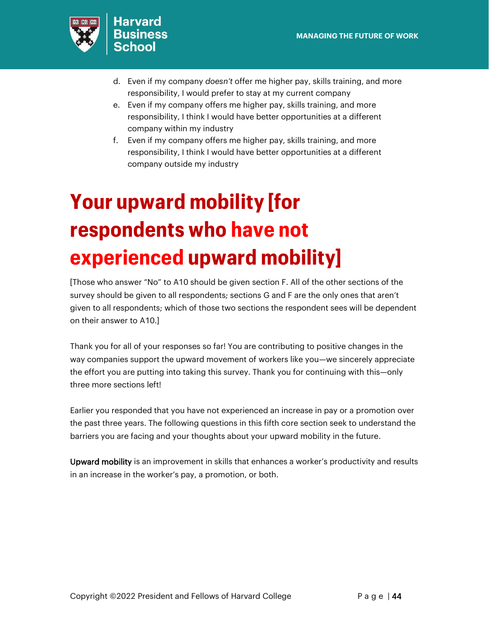

- d. Even if my company *doesn't* offer me higher pay, skills training, and more responsibility, I would prefer to stay at my current company
- e. Even if my company offers me higher pay, skills training, and more responsibility, I think I would have better opportunities at a different company within my industry
- f. Even if my company offers me higher pay, skills training, and more responsibility, I think I would have better opportunities at a different company outside my industry

# <span id="page-43-0"></span>**Your upward mobility [for respondents who have not experienced upward mobility]**

[Those who answer "No" to A10 should be given section F. All of the other sections of the survey should be given to all respondents; sections G and F are the only ones that aren't given to all respondents; which of those two sections the respondent sees will be dependent on their answer to A10.]

Thank you for all of your responses so far! You are contributing to positive changes in the way companies support the upward movement of workers like you—we sincerely appreciate the effort you are putting into taking this survey. Thank you for continuing with this—only three more sections left!

Earlier you responded that you have not experienced an increase in pay or a promotion over the past three years. The following questions in this fifth core section seek to understand the barriers you are facing and your thoughts about your upward mobility in the future.

Upward mobility is an improvement in skills that enhances a worker's productivity and results in an increase in the worker's pay, a promotion, or both.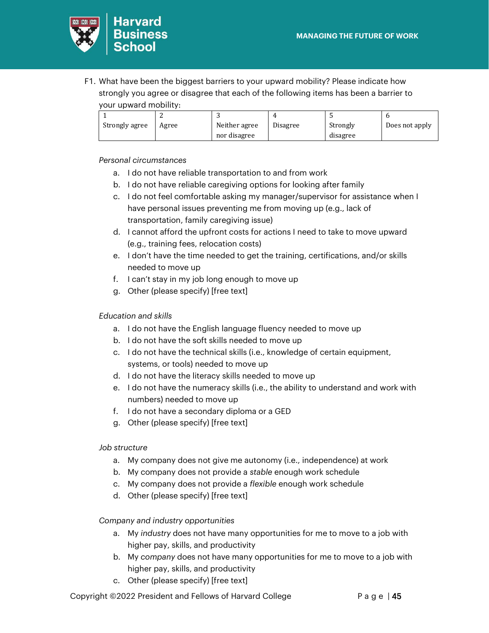

F1. What have been the biggest barriers to your upward mobility? Please indicate how strongly you agree or disagree that each of the following items has been a barrier to your upward mobility:

| Strongly agree | Agree | Neither agree | Disagree | Strongly | Does not apply |
|----------------|-------|---------------|----------|----------|----------------|
|                |       | nor disagree  |          | disagree |                |

*Personal circumstances* 

- a. I do not have reliable transportation to and from work
- b. I do not have reliable caregiving options for looking after family
- c. I do not feel comfortable asking my manager/supervisor for assistance when I have personal issues preventing me from moving up (e.g., lack of transportation, family caregiving issue)
- d. I cannot afford the upfront costs for actions I need to take to move upward (e.g., training fees, relocation costs)
- e. I don't have the time needed to get the training, certifications, and/or skills needed to move up
- f. I can't stay in my job long enough to move up
- g. Other (please specify) [free text]

### *Education and skills*

- a. I do not have the English language fluency needed to move up
- b. I do not have the soft skills needed to move up
- c. I do not have the technical skills (i.e., knowledge of certain equipment, systems, or tools) needed to move up
- d. I do not have the literacy skills needed to move up
- e. I do not have the numeracy skills (i.e., the ability to understand and work with numbers) needed to move up
- f. I do not have a secondary diploma or a GED
- g. Other (please specify) [free text]

### *Job structure*

- a. My company does not give me autonomy (i.e., independence) at work
- b. My company does not provide a *stable* enough work schedule
- c. My company does not provide a *flexible* enough work schedule
- d. Other (please specify) [free text]

### *Company and industry opportunities*

- a. My *industry* does not have many opportunities for me to move to a job with higher pay, skills, and productivity
- b. My *company* does not have many opportunities for me to move to a job with higher pay, skills, and productivity
- c. Other (please specify) [free text]

Copyright  $@2022$  President and Fellows of Harvard College  $\overline{P}$  a g e | 45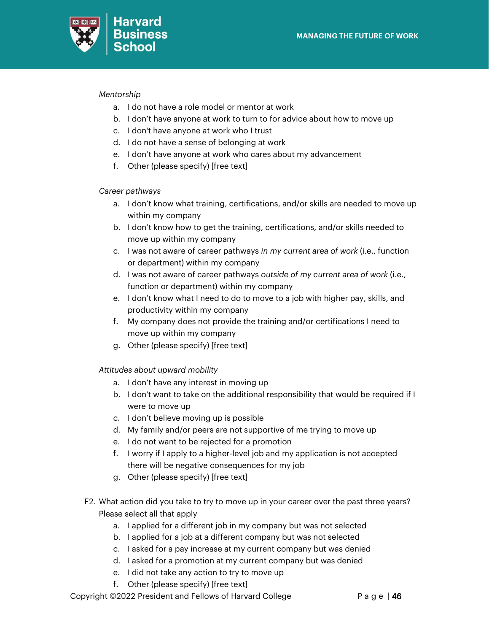

### *Mentorship*

- a. I do not have a role model or mentor at work
- b. I don't have anyone at work to turn to for advice about how to move up
- c. I don't have anyone at work who I trust
- d. I do not have a sense of belonging at work
- e. I don't have anyone at work who cares about my advancement
- f. Other (please specify) [free text]

### *Career pathways*

- a. I don't know what training, certifications, and/or skills are needed to move up within my company
- b. I don't know how to get the training, certifications, and/or skills needed to move up within my company
- c. I was not aware of career pathways *in my current area of work* (i.e., function or department) within my company
- d. I was not aware of career pathways *outside of my current area of work* (i.e., function or department) within my company
- e. I don't know what I need to do to move to a job with higher pay, skills, and productivity within my company
- f. My company does not provide the training and/or certifications I need to move up within my company
- g. Other (please specify) [free text]

*Attitudes about upward mobility*

- a. I don't have any interest in moving up
- b. I don't want to take on the additional responsibility that would be required if I were to move up
- c. I don't believe moving up is possible
- d. My family and/or peers are not supportive of me trying to move up
- e. I do not want to be rejected for a promotion
- f. I worry if I apply to a higher-level job and my application is not accepted there will be negative consequences for my job
- g. Other (please specify) [free text]
- F2. What action did you take to try to move up in your career over the past three years? Please select all that apply
	- a. I applied for a different job in my company but was not selected
	- b. I applied for a job at a different company but was not selected
	- c. I asked for a pay increase at my current company but was denied
	- d. I asked for a promotion at my current company but was denied
	- e. I did not take any action to try to move up
	- f. Other (please specify) [free text]

Copyright  $@2022$  President and Fellows of Harvard College P a g e | 46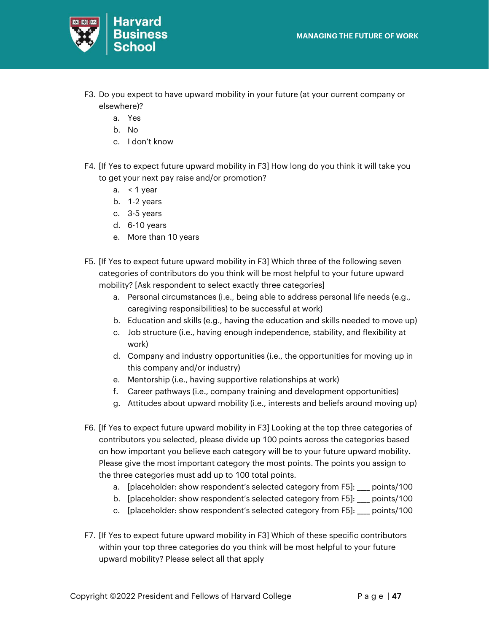

- F3. Do you expect to have upward mobility in your future (at your current company or elsewhere)?
	- a. Yes
	- b. No
	- c. I don't know
- F4. [If Yes to expect future upward mobility in F3] How long do you think it will take you to get your next pay raise and/or promotion?
	- a.  $\leq 1$  year
	- b. 1-2 years
	- c. 3-5 years
	- d. 6-10 years
	- e. More than 10 years
- F5. [If Yes to expect future upward mobility in F3] Which three of the following seven categories of contributors do you think will be most helpful to your future upward mobility? [Ask respondent to select exactly three categories]
	- a. Personal circumstances (i.e., being able to address personal life needs (e.g., caregiving responsibilities) to be successful at work)
	- b. Education and skills (e.g., having the education and skills needed to move up)
	- c. Job structure (i.e., having enough independence, stability, and flexibility at work)
	- d. Company and industry opportunities (i.e., the opportunities for moving up in this company and/or industry)
	- e. Mentorship (i.e., having supportive relationships at work)
	- f. Career pathways (i.e., company training and development opportunities)
	- g. Attitudes about upward mobility (i.e., interests and beliefs around moving up)
- F6. [If Yes to expect future upward mobility in F3] Looking at the top three categories of contributors you selected, please divide up 100 points across the categories based on how important you believe each category will be to your future upward mobility. Please give the most important category the most points. The points you assign to the three categories must add up to 100 total points.
	- a. [placeholder: show respondent's selected category from F5]: \_\_\_\_ points/100
	- b. [placeholder: show respondent's selected category from F5]: \_\_\_\_ points/100
	- c. [placeholder: show respondent's selected category from F5]: \_\_\_\_ points/100
- F7. [If Yes to expect future upward mobility in F3] Which of these specific contributors within your top three categories do you think will be most helpful to your future upward mobility? Please select all that apply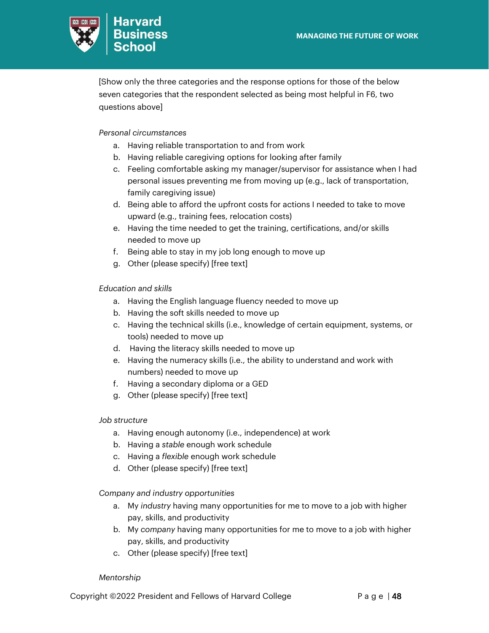

[Show only the three categories and the response options for those of the below seven categories that the respondent selected as being most helpful in F6, two questions above]

### *Personal circumstances*

- a. Having reliable transportation to and from work
- b. Having reliable caregiving options for looking after family
- c. Feeling comfortable asking my manager/supervisor for assistance when I had personal issues preventing me from moving up (e.g., lack of transportation, family caregiving issue)
- d. Being able to afford the upfront costs for actions I needed to take to move upward (e.g., training fees, relocation costs)
- e. Having the time needed to get the training, certifications, and/or skills needed to move up
- f. Being able to stay in my job long enough to move up
- g. Other (please specify) [free text]

### *Education and skills*

- a. Having the English language fluency needed to move up
- b. Having the soft skills needed to move up
- c. Having the technical skills (i.e., knowledge of certain equipment, systems, or tools) needed to move up
- d. Having the literacy skills needed to move up
- e. Having the numeracy skills (i.e., the ability to understand and work with numbers) needed to move up
- f. Having a secondary diploma or a GED
- g. Other (please specify) [free text]

### *Job structure*

- a. Having enough autonomy (i.e., independence) at work
- b. Having a *stable* enough work schedule
- c. Having a *flexible* enough work schedule
- d. Other (please specify) [free text]

### *Company and industry opportunities*

- a. My *industry* having many opportunities for me to move to a job with higher pay, skills, and productivity
- b. My *company* having many opportunities for me to move to a job with higher pay, skills, and productivity
- c. Other (please specify) [free text]

### *Mentorship*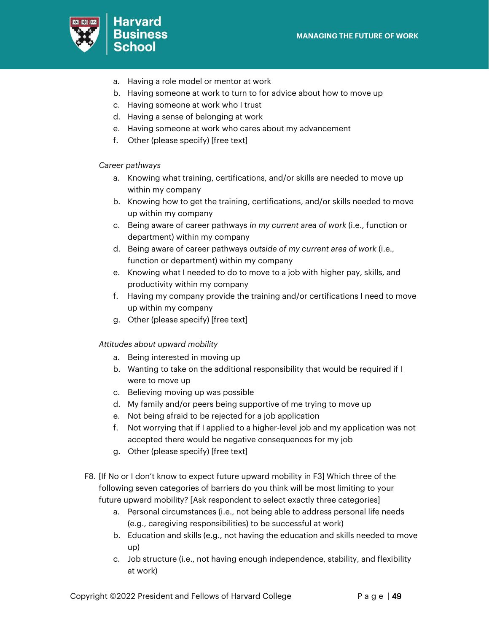

- a. Having a role model or mentor at work
- b. Having someone at work to turn to for advice about how to move up
- c. Having someone at work who I trust
- d. Having a sense of belonging at work
- e. Having someone at work who cares about my advancement
- f. Other (please specify) [free text]

### *Career pathways*

- a. Knowing what training, certifications, and/or skills are needed to move up within my company
- b. Knowing how to get the training, certifications, and/or skills needed to move up within my company
- c. Being aware of career pathways *in my current area of work* (i.e., function or department) within my company
- d. Being aware of career pathways *outside of my current area of work* (i.e., function or department) within my company
- e. Knowing what I needed to do to move to a job with higher pay, skills, and productivity within my company
- f. Having my company provide the training and/or certifications I need to move up within my company
- g. Other (please specify) [free text]

### *Attitudes about upward mobility*

- a. Being interested in moving up
- b. Wanting to take on the additional responsibility that would be required if I were to move up
- c. Believing moving up was possible
- d. My family and/or peers being supportive of me trying to move up
- e. Not being afraid to be rejected for a job application
- f. Not worrying that if I applied to a higher-level job and my application was not accepted there would be negative consequences for my job
- g. Other (please specify) [free text]
- F8. [If No or I don't know to expect future upward mobility in F3] Which three of the following seven categories of barriers do you think will be most limiting to your future upward mobility? [Ask respondent to select exactly three categories]
	- a. Personal circumstances (i.e., not being able to address personal life needs (e.g., caregiving responsibilities) to be successful at work)
	- b. Education and skills (e.g., not having the education and skills needed to move up)
	- c. Job structure (i.e., not having enough independence, stability, and flexibility at work)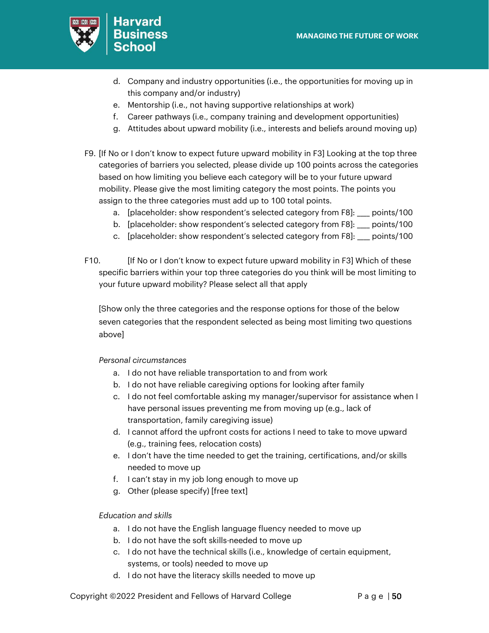

- d. Company and industry opportunities (i.e., the opportunities for moving up in this company and/or industry)
- e. Mentorship (i.e., not having supportive relationships at work)
- f. Career pathways (i.e., company training and development opportunities)
- g. Attitudes about upward mobility (i.e., interests and beliefs around moving up)
- F9. [If No or I don't know to expect future upward mobility in F3] Looking at the top three categories of barriers you selected, please divide up 100 points across the categories based on how limiting you believe each category will be to your future upward mobility. Please give the most limiting category the most points. The points you assign to the three categories must add up to 100 total points.
	- a. [placeholder: show respondent's selected category from F8]: points/100
	- b. [placeholder: show respondent's selected category from F8]: \_\_\_\_ points/100
	- c. [placeholder: show respondent's selected category from F8]: \_\_\_\_ points/100
- F10. [If No or I don't know to expect future upward mobility in F3] Which of these specific barriers within your top three categories do you think will be most limiting to your future upward mobility? Please select all that apply

[Show only the three categories and the response options for those of the below seven categories that the respondent selected as being most limiting two questions above]

### *Personal circumstances*

- a. I do not have reliable transportation to and from work
- b. I do not have reliable caregiving options for looking after family
- c. I do not feel comfortable asking my manager/supervisor for assistance when I have personal issues preventing me from moving up (e.g., lack of transportation, family caregiving issue)
- d. I cannot afford the upfront costs for actions I need to take to move upward (e.g., training fees, relocation costs)
- e. I don't have the time needed to get the training, certifications, and/or skills needed to move up
- f. I can't stay in my job long enough to move up
- g. Other (please specify) [free text]

### *Education and skills*

- a. I do not have the English language fluency needed to move up
- b. I do not have the soft skills-needed to move up
- c. I do not have the technical skills (i.e., knowledge of certain equipment, systems, or tools) needed to move up
- d. I do not have the literacy skills needed to move up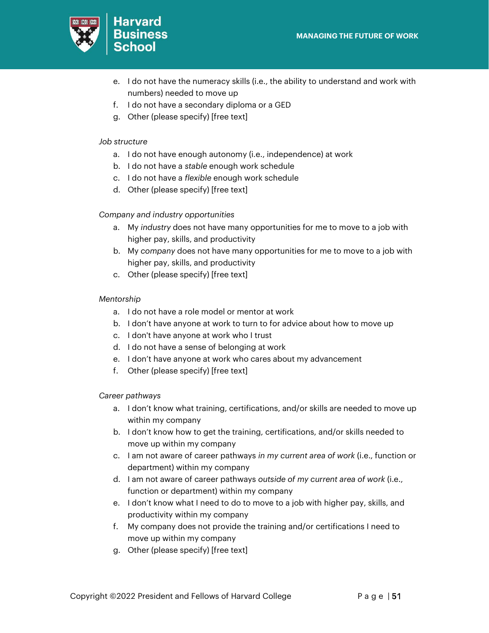

- e. I do not have the numeracy skills (i.e., the ability to understand and work with numbers) needed to move up
- f. I do not have a secondary diploma or a GED
- g. Other (please specify) [free text]

### *Job structure*

- a. I do not have enough autonomy (i.e., independence) at work
- b. I do not have a *stable* enough work schedule
- c. I do not have a *flexible* enough work schedule
- d. Other (please specify) [free text]

### *Company and industry opportunities*

- a. My *industry* does not have many opportunities for me to move to a job with higher pay, skills, and productivity
- b. My *company* does not have many opportunities for me to move to a job with higher pay, skills, and productivity
- c. Other (please specify) [free text]

### *Mentorship*

- a. I do not have a role model or mentor at work
- b. I don't have anyone at work to turn to for advice about how to move up
- c. I don't have anyone at work who I trust
- d. I do not have a sense of belonging at work
- e. I don't have anyone at work who cares about my advancement
- f. Other (please specify) [free text]

### *Career pathways*

- a. I don't know what training, certifications, and/or skills are needed to move up within my company
- b. I don't know how to get the training, certifications, and/or skills needed to move up within my company
- c. I am not aware of career pathways *in my current area of work* (i.e., function or department) within my company
- d. I am not aware of career pathways *outside of my current area of work* (i.e., function or department) within my company
- e. I don't know what I need to do to move to a job with higher pay, skills, and productivity within my company
- f. My company does not provide the training and/or certifications I need to move up within my company
- g. Other (please specify) [free text]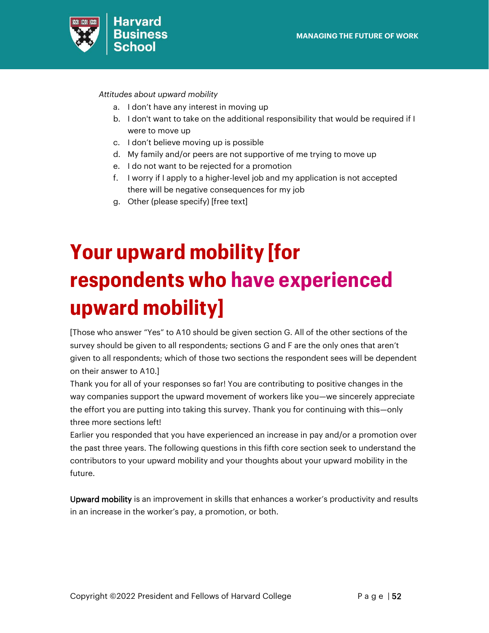

*Attitudes about upward mobility*

- a. I don't have any interest in moving up
- b. I don't want to take on the additional responsibility that would be required if I were to move up
- c. I don't believe moving up is possible
- d. My family and/or peers are not supportive of me trying to move up
- e. I do not want to be rejected for a promotion
- f. I worry if I apply to a higher-level job and my application is not accepted there will be negative consequences for my job
- g. Other (please specify) [free text]

# <span id="page-51-0"></span>**Your upward mobility [for respondents who have experienced upward mobility]**

[Those who answer "Yes" to A10 should be given section G. All of the other sections of the survey should be given to all respondents; sections G and F are the only ones that aren't given to all respondents; which of those two sections the respondent sees will be dependent on their answer to A10.]

Thank you for all of your responses so far! You are contributing to positive changes in the way companies support the upward movement of workers like you—we sincerely appreciate the effort you are putting into taking this survey. Thank you for continuing with this—only three more sections left!

Earlier you responded that you have experienced an increase in pay and/or a promotion over the past three years. The following questions in this fifth core section seek to understand the contributors to your upward mobility and your thoughts about your upward mobility in the future.

Upward mobility is an improvement in skills that enhances a worker's productivity and results in an increase in the worker's pay, a promotion, or both.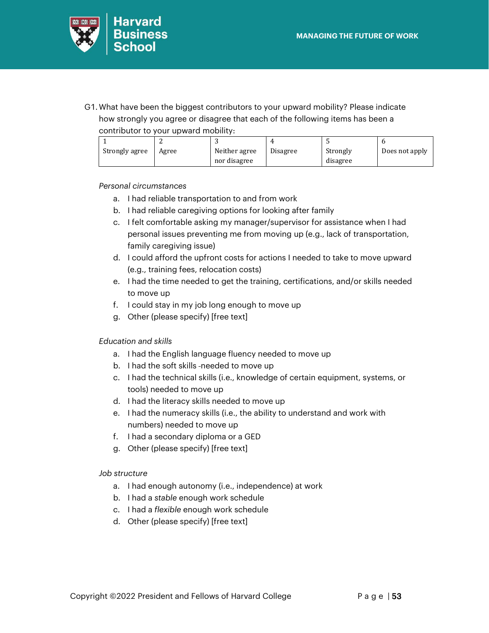

G1. What have been the biggest contributors to your upward mobility? Please indicate how strongly you agree or disagree that each of the following items has been a contributor to your upward mobility:

| Strongly agree | Agree | Neither agree | Disagree | Strongly | Does not apply |  |  |  |
|----------------|-------|---------------|----------|----------|----------------|--|--|--|
|                |       | nor disagree  |          | disagree |                |  |  |  |

### *Personal circumstances*

- a. I had reliable transportation to and from work
- b. I had reliable caregiving options for looking after family
- c. I felt comfortable asking my manager/supervisor for assistance when I had personal issues preventing me from moving up (e.g., lack of transportation, family caregiving issue)
- d. I could afford the upfront costs for actions I needed to take to move upward (e.g., training fees, relocation costs)
- e. I had the time needed to get the training, certifications, and/or skills needed to move up
- f. I could stay in my job long enough to move up
- g. Other (please specify) [free text]

### *Education and skills*

- a. I had the English language fluency needed to move up
- b. I had the soft skills-needed to move up
- c. I had the technical skills (i.e., knowledge of certain equipment, systems, or tools) needed to move up
- d. I had the literacy skills needed to move up
- e. I had the numeracy skills (i.e., the ability to understand and work with numbers) needed to move up
- f. I had a secondary diploma or a GED
- g. Other (please specify) [free text]

### *Job structure*

- a. I had enough autonomy (i.e., independence) at work
- b. I had a *stable* enough work schedule
- c. I had a *flexible* enough work schedule
- d. Other (please specify) [free text]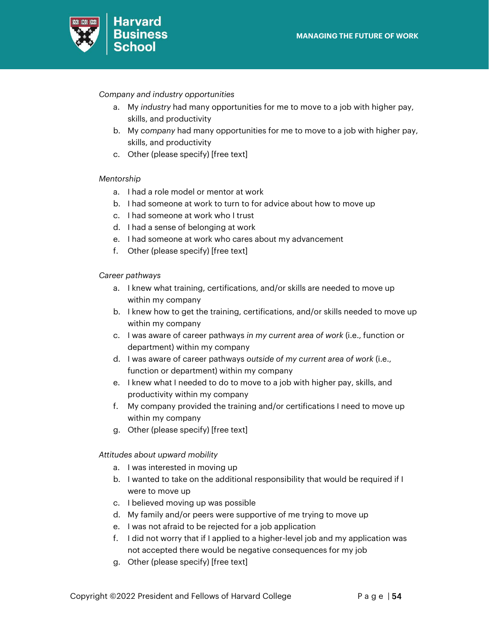

*Company and industry opportunities*

- a. My *industry* had many opportunities for me to move to a job with higher pay, skills, and productivity
- b. My *company* had many opportunities for me to move to a job with higher pay, skills, and productivity
- c. Other (please specify) [free text]

### *Mentorship*

- a. I had a role model or mentor at work
- b. I had someone at work to turn to for advice about how to move up
- c. I had someone at work who I trust
- d. I had a sense of belonging at work
- e. I had someone at work who cares about my advancement
- f. Other (please specify) [free text]

### *Career pathways*

- a. I knew what training, certifications, and/or skills are needed to move up within my company
- b. I knew how to get the training, certifications, and/or skills needed to move up within my company
- c. I was aware of career pathways *in my current area of work* (i.e., function or department) within my company
- d. I was aware of career pathways *outside of my current area of work* (i.e., function or department) within my company
- e. I knew what I needed to do to move to a job with higher pay, skills, and productivity within my company
- f. My company provided the training and/or certifications I need to move up within my company
- g. Other (please specify) [free text]

### *Attitudes about upward mobility*

- a. I was interested in moving up
- b. I wanted to take on the additional responsibility that would be required if I were to move up
- c. I believed moving up was possible
- d. My family and/or peers were supportive of me trying to move up
- e. I was not afraid to be rejected for a job application
- f. I did not worry that if I applied to a higher-level job and my application was not accepted there would be negative consequences for my job
- g. Other (please specify) [free text]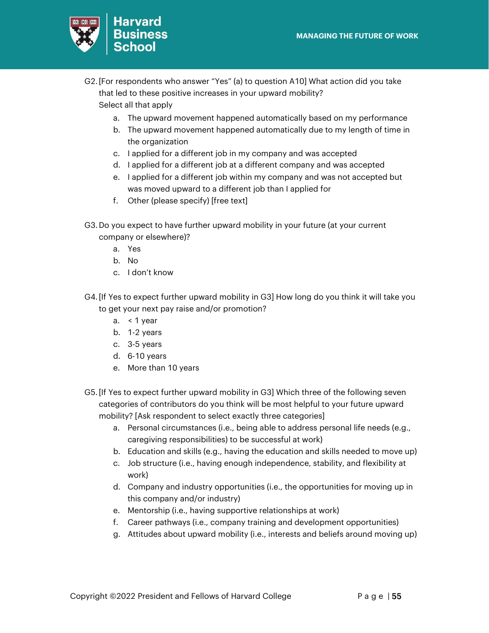

- G2. [For respondents who answer "Yes" (a) to question A10] What action did you take that led to these positive increases in your upward mobility? Select all that apply
	- a. The upward movement happened automatically based on my performance
	- b. The upward movement happened automatically due to my length of time in the organization
	- c. I applied for a different job in my company and was accepted
	- d. I applied for a different job at a different company and was accepted
	- e. I applied for a different job within my company and was not accepted but was moved upward to a different job than I applied for
	- f. Other (please specify) [free text]
- G3.Do you expect to have further upward mobility in your future (at your current company or elsewhere)?
	- a. Yes
	- b. No
	- c. I don't know
- G4. [If Yes to expect further upward mobility in G3] How long do you think it will take you to get your next pay raise and/or promotion?
	- a. < 1 year
	- b. 1-2 years
	- c. 3-5 years
	- d. 6-10 years
	- e. More than 10 years
- G5. [If Yes to expect further upward mobility in G3] Which three of the following seven categories of contributors do you think will be most helpful to your future upward mobility? [Ask respondent to select exactly three categories]
	- a. Personal circumstances (i.e., being able to address personal life needs (e.g., caregiving responsibilities) to be successful at work)
	- b. Education and skills (e.g., having the education and skills needed to move up)
	- c. Job structure (i.e., having enough independence, stability, and flexibility at work)
	- d. Company and industry opportunities (i.e., the opportunities for moving up in this company and/or industry)
	- e. Mentorship (i.e., having supportive relationships at work)
	- f. Career pathways (i.e., company training and development opportunities)
	- g. Attitudes about upward mobility (i.e., interests and beliefs around moving up)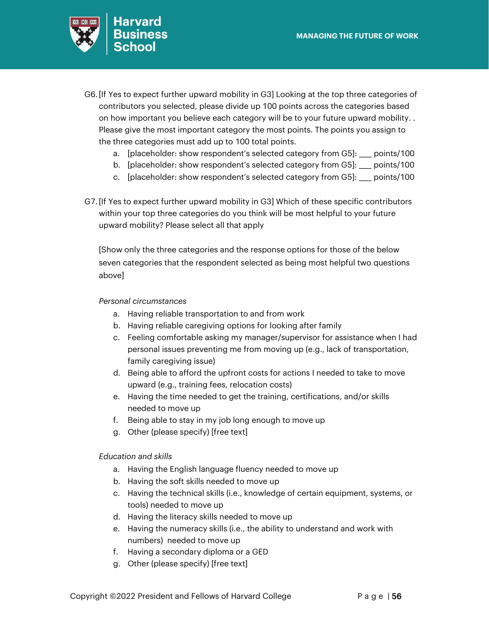

- G6. [If Yes to expect further upward mobility in G3] Looking at the top three categories of contributors you selected, please divide up 100 points across the categories based on how important you believe each category will be to your future upward mobility. . Please give the most important category the most points. The points you assign to the three categories must add up to 100 total points.
	- a. [placeholder: show respondent's selected category from G5]: \_\_\_ points/100
	- b. [placeholder: show respondent's selected category from G5]: \_\_\_\_ points/100
	- c. [placeholder: show respondent's selected category from G5]: \_\_\_\_ points/100
- G7. [If Yes to expect further upward mobility in G3] Which of these specific contributors within your top three categories do you think will be most helpful to your future upward mobility? Please select all that apply

[Show only the three categories and the response options for those of the below seven categories that the respondent selected as being most helpful two questions above]

### *Personal circumstances*

- a. Having reliable transportation to and from work
- b. Having reliable caregiving options for looking after family
- c. Feeling comfortable asking my manager/supervisor for assistance when I had personal issues preventing me from moving up (e.g., lack of transportation, family caregiving issue)
- d. Being able to afford the upfront costs for actions I needed to take to move upward (e.g., training fees, relocation costs)
- e. Having the time needed to get the training, certifications, and/or skills needed to move up
- f. Being able to stay in my job long enough to move up
- g. Other (please specify) [free text]

### *Education and skills*

- a. Having the English language fluency needed to move up
- b. Having the soft skills needed to move up
- c. Having the technical skills (i.e., knowledge of certain equipment, systems, or tools) needed to move up
- d. Having the literacy skills needed to move up
- e. Having the numeracy skills (i.e., the ability to understand and work with numbers) needed to move up
- f. Having a secondary diploma or a GED
- g. Other (please specify) [free text]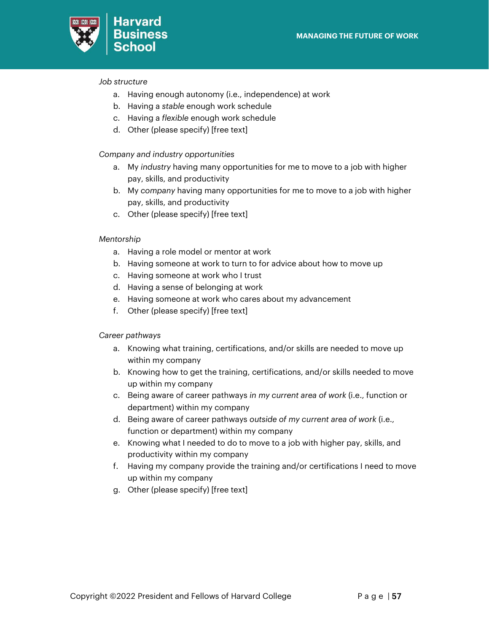

### *Job structure*

- a. Having enough autonomy (i.e., independence) at work
- b. Having a *stable* enough work schedule
- c. Having a *flexible* enough work schedule
- d. Other (please specify) [free text]

### *Company and industry opportunities*

- a. My *industry* having many opportunities for me to move to a job with higher pay, skills, and productivity
- b. My *company* having many opportunities for me to move to a job with higher pay, skills, and productivity
- c. Other (please specify) [free text]

### *Mentorship*

- a. Having a role model or mentor at work
- b. Having someone at work to turn to for advice about how to move up
- c. Having someone at work who I trust
- d. Having a sense of belonging at work
- e. Having someone at work who cares about my advancement
- f. Other (please specify) [free text]

### *Career pathways*

- a. Knowing what training, certifications, and/or skills are needed to move up within my company
- b. Knowing how to get the training, certifications, and/or skills needed to move up within my company
- c. Being aware of career pathways *in my current area of work* (i.e., function or department) within my company
- d. Being aware of career pathways *outside of my current area of work* (i.e., function or department) within my company
- e. Knowing what I needed to do to move to a job with higher pay, skills, and productivity within my company
- f. Having my company provide the training and/or certifications I need to move up within my company
- g. Other (please specify) [free text]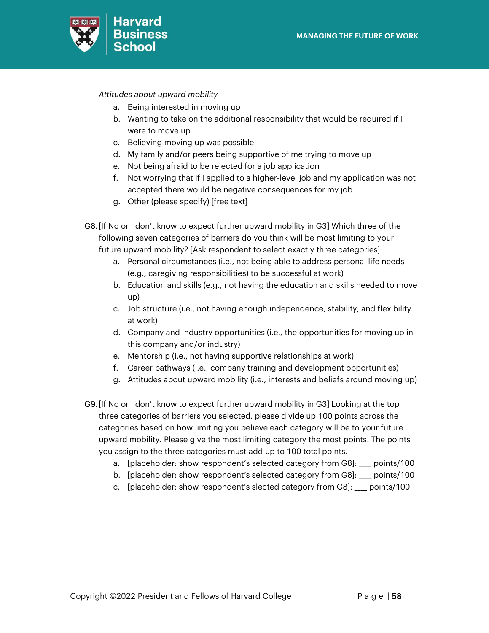

*Attitudes about upward mobility*

- a. Being interested in moving up
- b. Wanting to take on the additional responsibility that would be required if I were to move up
- c. Believing moving up was possible
- d. My family and/or peers being supportive of me trying to move up
- e. Not being afraid to be rejected for a job application
- f. Not worrying that if I applied to a higher-level job and my application was not accepted there would be negative consequences for my job
- g. Other (please specify) [free text]
- G8. [If No or I don't know to expect further upward mobility in G3] Which three of the following seven categories of barriers do you think will be most limiting to your future upward mobility? [Ask respondent to select exactly three categories]
	- a. Personal circumstances (i.e., not being able to address personal life needs (e.g., caregiving responsibilities) to be successful at work)
	- b. Education and skills (e.g., not having the education and skills needed to move up)
	- c. Job structure (i.e., not having enough independence, stability, and flexibility at work)
	- d. Company and industry opportunities (i.e., the opportunities for moving up in this company and/or industry)
	- e. Mentorship (i.e., not having supportive relationships at work)
	- f. Career pathways (i.e., company training and development opportunities)
	- g. Attitudes about upward mobility (i.e., interests and beliefs around moving up)
- G9. [If No or I don't know to expect further upward mobility in G3] Looking at the top three categories of barriers you selected, please divide up 100 points across the categories based on how limiting you believe each category will be to your future upward mobility. Please give the most limiting category the most points. The points you assign to the three categories must add up to 100 total points.
	- a. [placeholder: show respondent's selected category from G8]: \_\_\_\_ points/100
	- b. [placeholder: show respondent's selected category from G8]: \_\_\_ points/100
	- c. [placeholder: show respondent's slected category from G8]: \_\_\_\_ points/100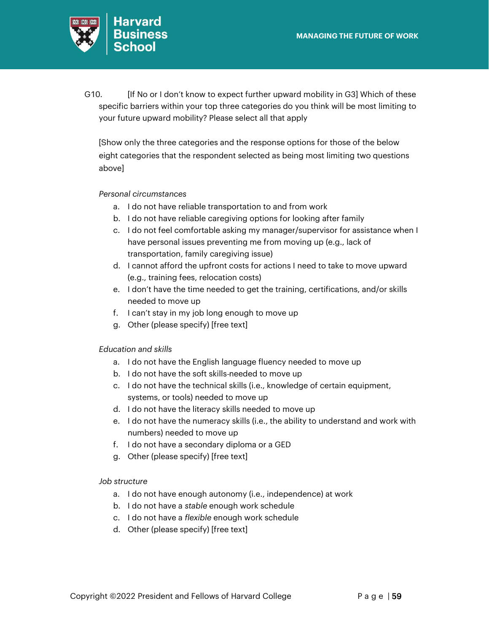

G10. **I** [If No or I don't know to expect further upward mobility in G3] Which of these specific barriers within your top three categories do you think will be most limiting to your future upward mobility? Please select all that apply

[Show only the three categories and the response options for those of the below eight categories that the respondent selected as being most limiting two questions above]

### *Personal circumstances*

- a. I do not have reliable transportation to and from work
- b. I do not have reliable caregiving options for looking after family
- c. I do not feel comfortable asking my manager/supervisor for assistance when I have personal issues preventing me from moving up (e.g., lack of transportation, family caregiving issue)
- d. I cannot afford the upfront costs for actions I need to take to move upward (e.g., training fees, relocation costs)
- e. I don't have the time needed to get the training, certifications, and/or skills needed to move up
- f. I can't stay in my job long enough to move up
- g. Other (please specify) [free text]

### *Education and skills*

- a. I do not have the English language fluency needed to move up
- b. I do not have the soft skills-needed to move up
- c. I do not have the technical skills (i.e., knowledge of certain equipment, systems, or tools) needed to move up
- d. I do not have the literacy skills needed to move up
- e. I do not have the numeracy skills (i.e., the ability to understand and work with numbers) needed to move up
- f. I do not have a secondary diploma or a GED
- g. Other (please specify) [free text]

### *Job structure*

- a. I do not have enough autonomy (i.e., independence) at work
- b. I do not have a *stable* enough work schedule
- c. I do not have a *flexible* enough work schedule
- d. Other (please specify) [free text]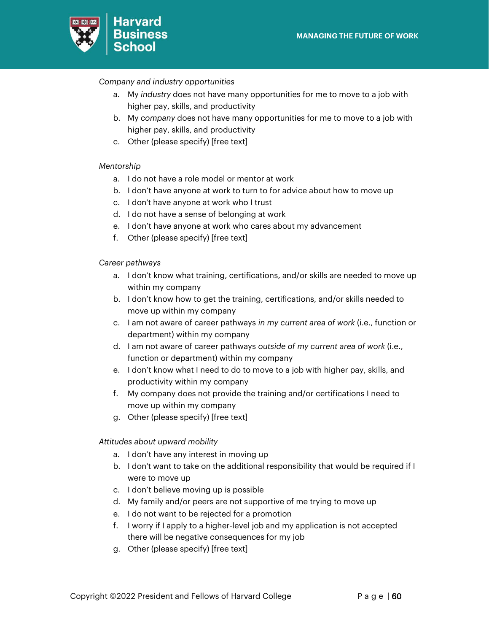

### *Company and industry opportunities*

- a. My *industry* does not have many opportunities for me to move to a job with higher pay, skills, and productivity
- b. My *company* does not have many opportunities for me to move to a job with higher pay, skills, and productivity
- c. Other (please specify) [free text]

### *Mentorship*

- a. I do not have a role model or mentor at work
- b. I don't have anyone at work to turn to for advice about how to move up
- c. I don't have anyone at work who I trust
- d. I do not have a sense of belonging at work
- e. I don't have anyone at work who cares about my advancement
- f. Other (please specify) [free text]

### *Career pathways*

- a. I don't know what training, certifications, and/or skills are needed to move up within my company
- b. I don't know how to get the training, certifications, and/or skills needed to move up within my company
- c. I am not aware of career pathways *in my current area of work* (i.e., function or department) within my company
- d. I am not aware of career pathways *outside of my current area of work* (i.e., function or department) within my company
- e. I don't know what I need to do to move to a job with higher pay, skills, and productivity within my company
- f. My company does not provide the training and/or certifications I need to move up within my company
- g. Other (please specify) [free text]

### *Attitudes about upward mobility*

- a. I don't have any interest in moving up
- b. I don't want to take on the additional responsibility that would be required if I were to move up
- c. I don't believe moving up is possible
- d. My family and/or peers are not supportive of me trying to move up
- e. I do not want to be rejected for a promotion
- f. I worry if I apply to a higher-level job and my application is not accepted there will be negative consequences for my job
- g. Other (please specify) [free text]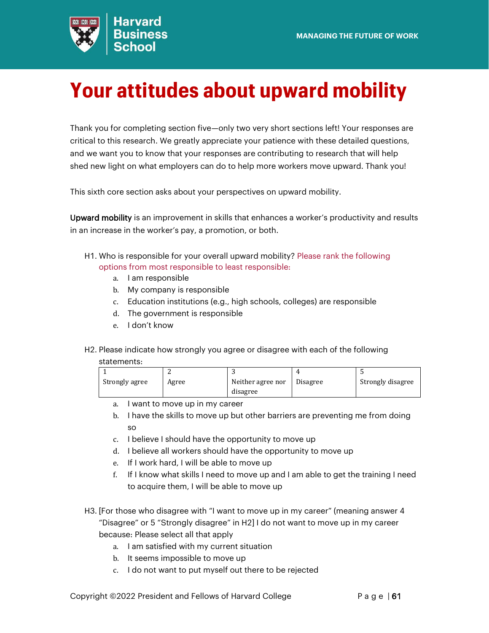

# <span id="page-60-0"></span>**Your attitudes about upward mobility**

Thank you for completing section five—only two very short sections left! Your responses are critical to this research. We greatly appreciate your patience with these detailed questions, and we want you to know that your responses are contributing to research that will help shed new light on what employers can do to help more workers move upward. Thank you!

This sixth core section asks about your perspectives on upward mobility.

Upward mobility is an improvement in skills that enhances a worker's productivity and results in an increase in the worker's pay, a promotion, or both.

- H1. Who is responsible for your overall upward mobility? Please rank the following options from most responsible to least responsible:
	- a. I am responsible
	- b. My company is responsible
	- c. Education institutions (e.g., high schools, colleges) are responsible
	- d. The government is responsible
	- e. I don't know
- H2. Please indicate how strongly you agree or disagree with each of the following

### statements:

| Strongly agree | Agree | Neither agree nor | Disagree | Strongly disagree |
|----------------|-------|-------------------|----------|-------------------|
|                |       | disagree          |          |                   |

- a. I want to move up in my career
- b. I have the skills to move up but other barriers are preventing me from doing so
- c. I believe I should have the opportunity to move up
- d. I believe all workers should have the opportunity to move up
- e. If I work hard, I will be able to move up
- f. If I know what skills I need to move up and I am able to get the training I need to acquire them, I will be able to move up
- H3. [For those who disagree with "I want to move up in my career" (meaning answer 4 "Disagree" or 5 "Strongly disagree" in H2] I do not want to move up in my career because: Please select all that apply
	- a. I am satisfied with my current situation
	- b. It seems impossible to move up
	- c. I do not want to put myself out there to be rejected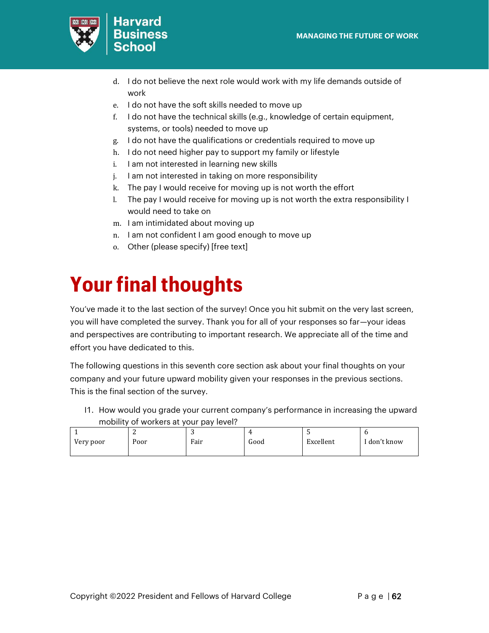

- Harvard **Business**
- d. I do not believe the next role would work with my life demands outside of work
- e. I do not have the soft skills needed to move up
- f. I do not have the technical skills (e.g., knowledge of certain equipment, systems, or tools) needed to move up
- g. I do not have the qualifications or credentials required to move up
- h. I do not need higher pay to support my family or lifestyle
- i. I am not interested in learning new skills
- j. I am not interested in taking on more responsibility
- k. The pay I would receive for moving up is not worth the effort
- l. The pay I would receive for moving up is not worth the extra responsibility I would need to take on
- m. I am intimidated about moving up
- n. I am not confident I am good enough to move up
- o. Other (please specify) [free text]

# <span id="page-61-0"></span>**Your final thoughts**

You've made it to the last section of the survey! Once you hit submit on the very last screen, you will have completed the survey. Thank you for all of your responses so far—your ideas and perspectives are contributing to important research. We appreciate all of the time and effort you have dedicated to this.

The following questions in this seventh core section ask about your final thoughts on your company and your future upward mobility given your responses in the previous sections. This is the final section of the survey.

I1. How would you grade your current company's performance in increasing the upward mobility of workers at your pay level?

|           |      | ັ    | 4    |           |            |
|-----------|------|------|------|-----------|------------|
| Very poor | Poor | Fair | Good | Excellent | don't know |
|           |      |      |      |           |            |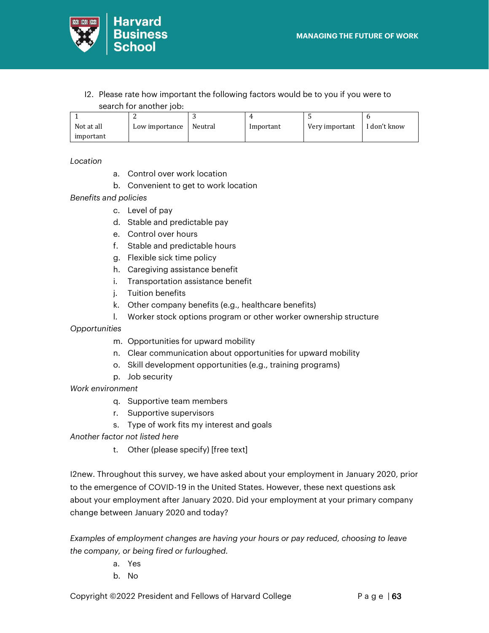

I2. Please rate how important the following factors would be to you if you were to search for another job:

| Not at all | Low importance | Neutral | Important | Very important | I don't know |
|------------|----------------|---------|-----------|----------------|--------------|
| important  |                |         |           |                |              |

*Location*

- a. Control over work location
- b. Convenient to get to work location

*Benefits and policies*

- c. Level of pay
- d. Stable and predictable pay
- e. Control over hours
- f. Stable and predictable hours
- g. Flexible sick time policy
- h. Caregiving assistance benefit
- i. Transportation assistance benefit
- j. Tuition benefits
- k. Other company benefits (e.g., healthcare benefits)
- l. Worker stock options program or other worker ownership structure

*Opportunities*

- m. Opportunities for upward mobility
- n. Clear communication about opportunities for upward mobility
- o. Skill development opportunities (e.g., training programs)
- p. Job security

*Work environment*

- q. Supportive team members
- r. Supportive supervisors
- s. Type of work fits my interest and goals
- *Another factor not listed here*
	- t. Other (please specify) [free text]

I2new. Throughout this survey, we have asked about your employment in January 2020, prior to the emergence of COVID-19 in the United States. However, these next questions ask about your employment after January 2020. Did your employment at your primary company change between January 2020 and today?

*Examples of employment changes are having your hours or pay reduced, choosing to leave the company, or being fired or furloughed.* 

- a. Yes
- b. No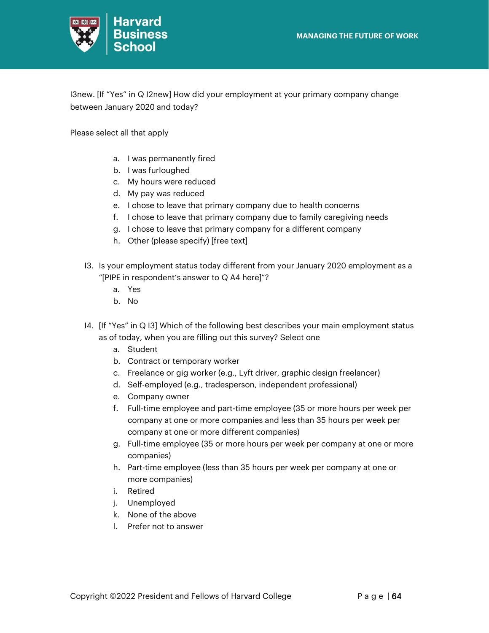

I3new. [If "Yes" in Q I2new] How did your employment at your primary company change between January 2020 and today?

Please select all that apply

- a. I was permanently fired
- b. I was furloughed
- c. My hours were reduced
- d. My pay was reduced
- e. I chose to leave that primary company due to health concerns
- f. I chose to leave that primary company due to family caregiving needs
- g. I chose to leave that primary company for a different company
- h. Other (please specify) [free text]
- I3. Is your employment status today different from your January 2020 employment as a "[PIPE in respondent's answer to Q A4 here]"?
	- a. Yes
	- b. No
- I4. [If "Yes" in Q I3] Which of the following best describes your main employment status as of today, when you are filling out this survey? Select one
	- a. Student
	- b. Contract or temporary worker
	- c. Freelance or gig worker (e.g., Lyft driver, graphic design freelancer)
	- d. Self-employed (e.g., tradesperson, independent professional)
	- e. Company owner
	- f. Full-time employee and part-time employee (35 or more hours per week per company at one or more companies and less than 35 hours per week per company at one or more different companies)
	- g. Full-time employee (35 or more hours per week per company at one or more companies)
	- h. Part-time employee (less than 35 hours per week per company at one or more companies)
	- i. Retired
	- j. Unemployed
	- k. None of the above
	- l. Prefer not to answer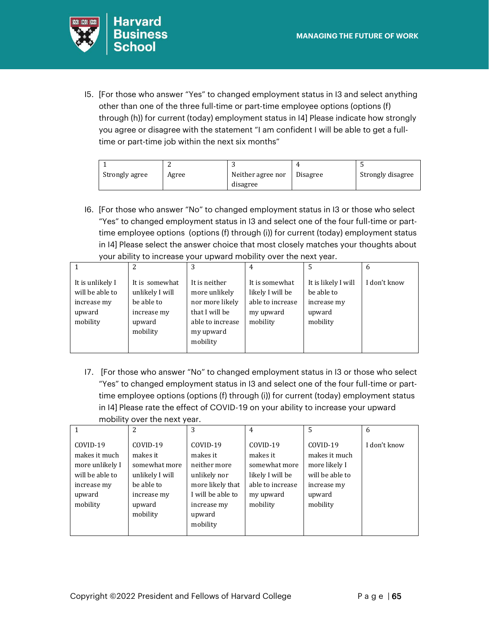

I5. [For those who answer "Yes" to changed employment status in I3 and select anything other than one of the three full-time or part-time employee options (options (f) through (h)) for current (today) employment status in I4] Please indicate how strongly you agree or disagree with the statement "I am confident I will be able to get a fulltime or part-time job within the next six months"

| Strongly agree | Agree | Neither agree nor | Disagree | Strongly disagree |
|----------------|-------|-------------------|----------|-------------------|
|                |       | disagree          |          |                   |

I6. [For those who answer "No" to changed employment status in I3 or those who select "Yes" to changed employment status in I3 and select one of the four full-time or parttime employee options (options (f) through (i)) for current (today) employment status in I4] Please select the answer choice that most closely matches your thoughts about your ability to increase your upward mobility over the next year.

|                                                                          |                                                                                      |                                                                                                                  | 4                                                                               | 5                                                                      | <sub>6</sub> |
|--------------------------------------------------------------------------|--------------------------------------------------------------------------------------|------------------------------------------------------------------------------------------------------------------|---------------------------------------------------------------------------------|------------------------------------------------------------------------|--------------|
| It is unlikely I<br>will be able to<br>increase my<br>upward<br>mobility | It is somewhat<br>unlikely I will<br>be able to<br>increase my<br>upward<br>mobility | It is neither<br>more unlikely<br>nor more likely<br>that I will be<br>able to increase<br>my upward<br>mobility | It is somewhat<br>likely I will be<br>able to increase<br>my upward<br>mobility | It is likely I will<br>be able to<br>increase my<br>upward<br>mobility | I don't know |

I7. [For those who answer "No" to changed employment status in I3 or those who select "Yes" to changed employment status in I3 and select one of the four full-time or parttime employee options (options (f) through (i)) for current (today) employment status in I4] Please rate the effect of COVID-19 on your ability to increase your upward mobility over the next year.

|                                                                                                      |                                                                                                             | 3                                                                                                                                  | 4                                                                                                      | .5                                                                                                 | 6            |
|------------------------------------------------------------------------------------------------------|-------------------------------------------------------------------------------------------------------------|------------------------------------------------------------------------------------------------------------------------------------|--------------------------------------------------------------------------------------------------------|----------------------------------------------------------------------------------------------------|--------------|
| COVID-19<br>makes it much<br>more unlikely I<br>will be able to<br>increase my<br>upward<br>mobility | COVID-19<br>makes it<br>somewhat more<br>unlikely I will<br>be able to<br>increase my<br>upward<br>mobility | COVID-19<br>makes it<br>neither more<br>unlikely nor<br>more likely that<br>I will be able to<br>increase my<br>upward<br>mobility | COVID-19<br>makes it<br>somewhat more<br>likely I will be<br>able to increase<br>my upward<br>mobility | COVID-19<br>makes it much<br>more likely I<br>will be able to<br>increase my<br>upward<br>mobility | I don't know |